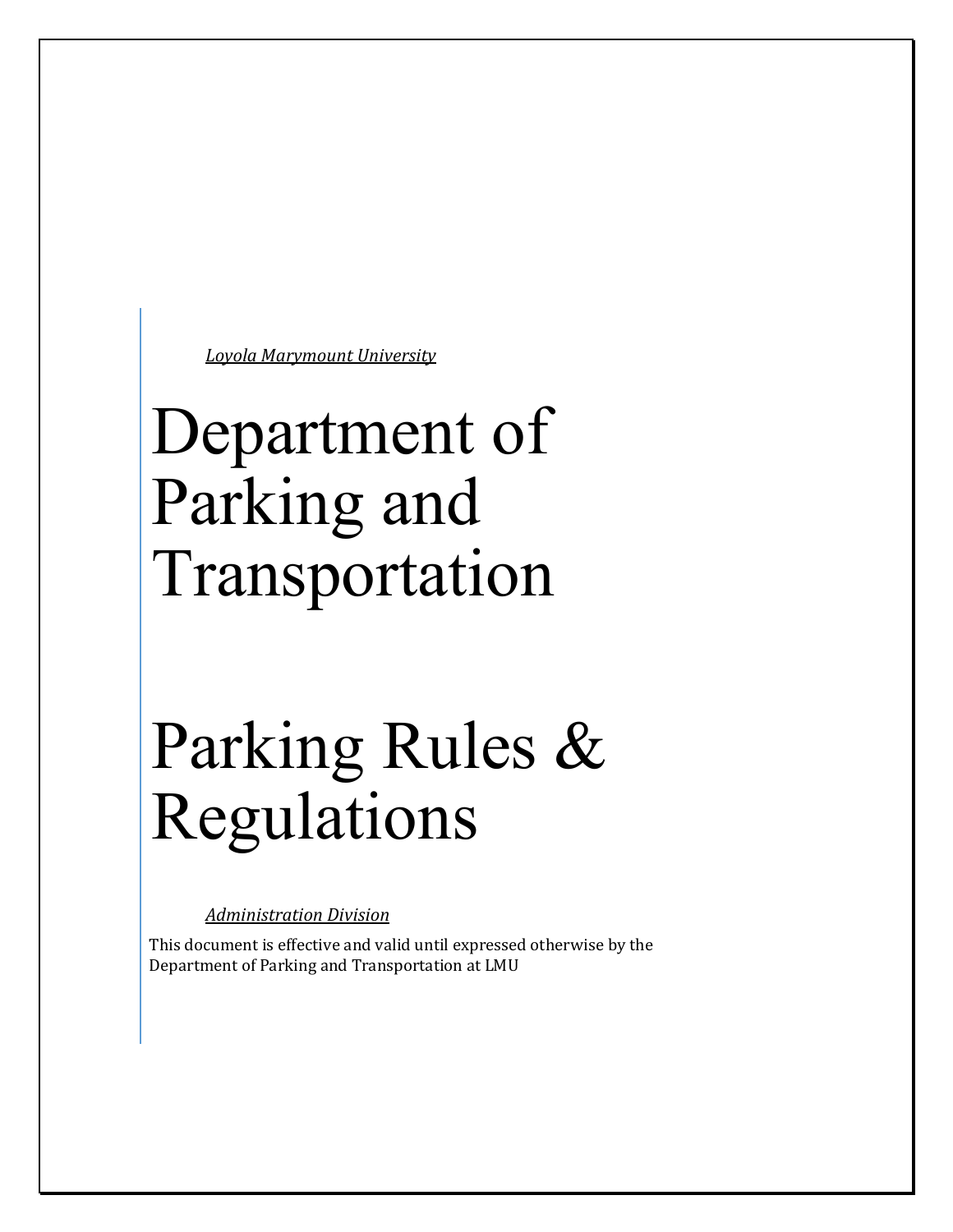*Loyola Marymount University*

# Department of Parking and Transportation

# Parking Rules & Regulations

*Administration Division*

This document is effective and valid until expressed otherwise by the Department of Parking and Transportation at LMU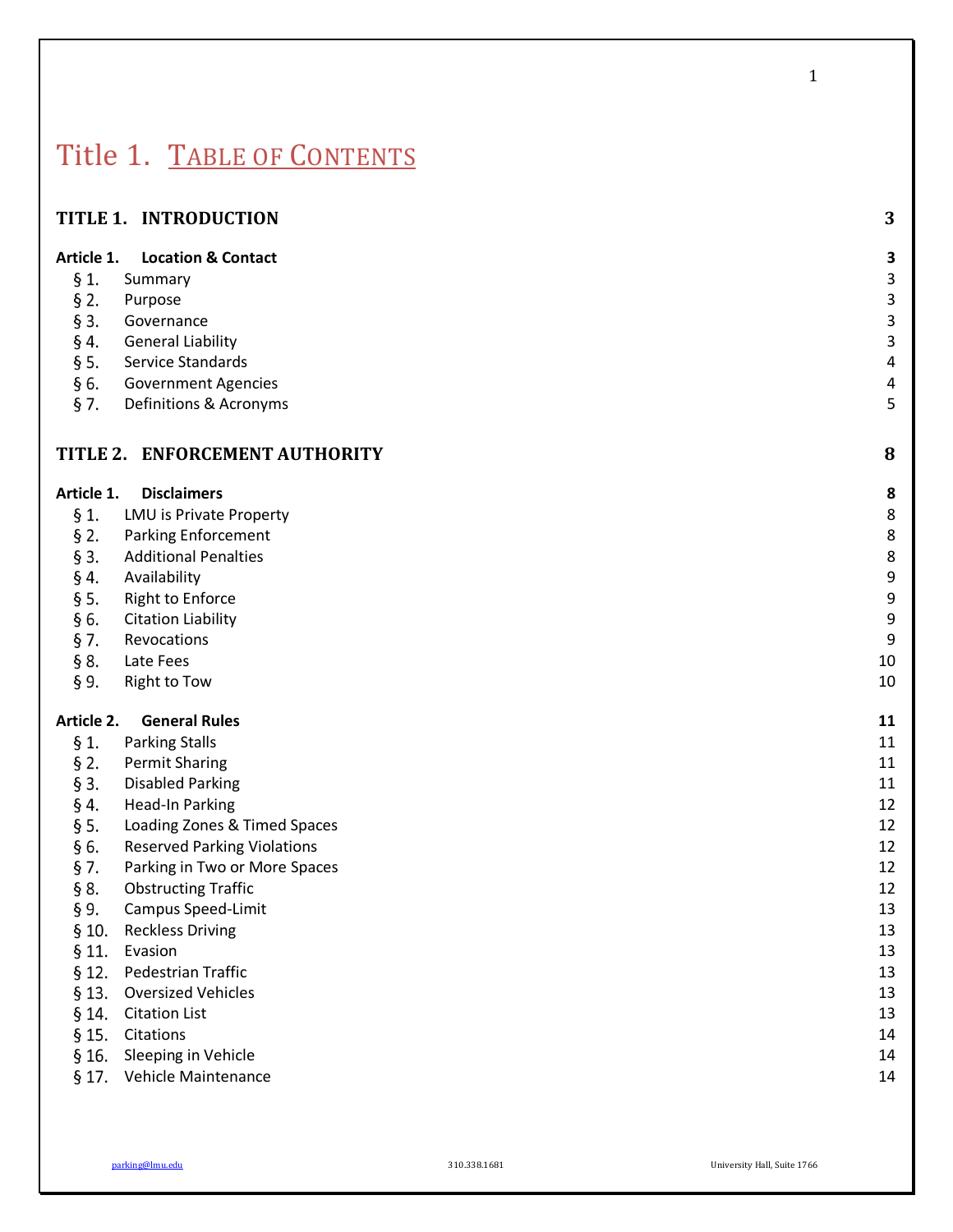# Title 1. TABLE OF CONTENTS

|  | TITLE 1. INTRODUCTION |  |  |
|--|-----------------------|--|--|
|--|-----------------------|--|--|

### **Article 1. Location & Contact 3**

- $§ 1.$ Summary 3. In the set of the set of the set of the set of the set of the set of the set of the set of the set o
- $§$  2. Purpose and the set of the set of the set of the set of the set of the set of the set of the set of the set of
- $§$  3. Governance 3
- $§$  4. General Liability 3
- $\S$  5. Service Standards 4
- § 6. Government Agencies 4
- $§ 7.$ Definitions & Acronyms 5

## **TITLE 2. ENFORCEMENT AUTHORITY 8**

| Article 1. | <b>Disclaimers</b>                 | 8  |
|------------|------------------------------------|----|
| § 1.       | LMU is Private Property            | 8  |
| $§$ 2.     | <b>Parking Enforcement</b>         | 8  |
| $§$ 3.     | <b>Additional Penalties</b>        | 8  |
| § 4.       | Availability                       | 9  |
| § 5.       | <b>Right to Enforce</b>            | 9  |
| § 6.       | <b>Citation Liability</b>          | 9  |
| $\S$ 7.    | Revocations                        | 9  |
| § 8.       | Late Fees                          | 10 |
| § 9.       | Right to Tow                       | 10 |
| Article 2. | <b>General Rules</b>               | 11 |
| § 1.       | <b>Parking Stalls</b>              | 11 |
| $\S 2.$    | <b>Permit Sharing</b>              | 11 |
| § 3.       | <b>Disabled Parking</b>            | 11 |
| § 4.       | Head-In Parking                    | 12 |
| § 5.       | Loading Zones & Timed Spaces       | 12 |
| § 6.       | <b>Reserved Parking Violations</b> | 12 |
| § 7.       | Parking in Two or More Spaces      | 12 |
| § 8.       | <b>Obstructing Traffic</b>         | 12 |
| § 9.       | Campus Speed-Limit                 | 13 |
| $§$ 10.    | <b>Reckless Driving</b>            | 13 |
| $§$ 11.    | Evasion                            | 13 |
| $§$ 12.    | <b>Pedestrian Traffic</b>          | 13 |
| § 13.      | <b>Oversized Vehicles</b>          | 13 |
| $§$ 14.    | <b>Citation List</b>               | 13 |
| § 15.      | Citations                          | 14 |
| $§$ 16.    | Sleeping in Vehicle                | 14 |
|            |                                    |    |

§ 17. Vehicle Maintenance 14

parking@lmu.edu 310.338.1681 University Hall, Suite 1766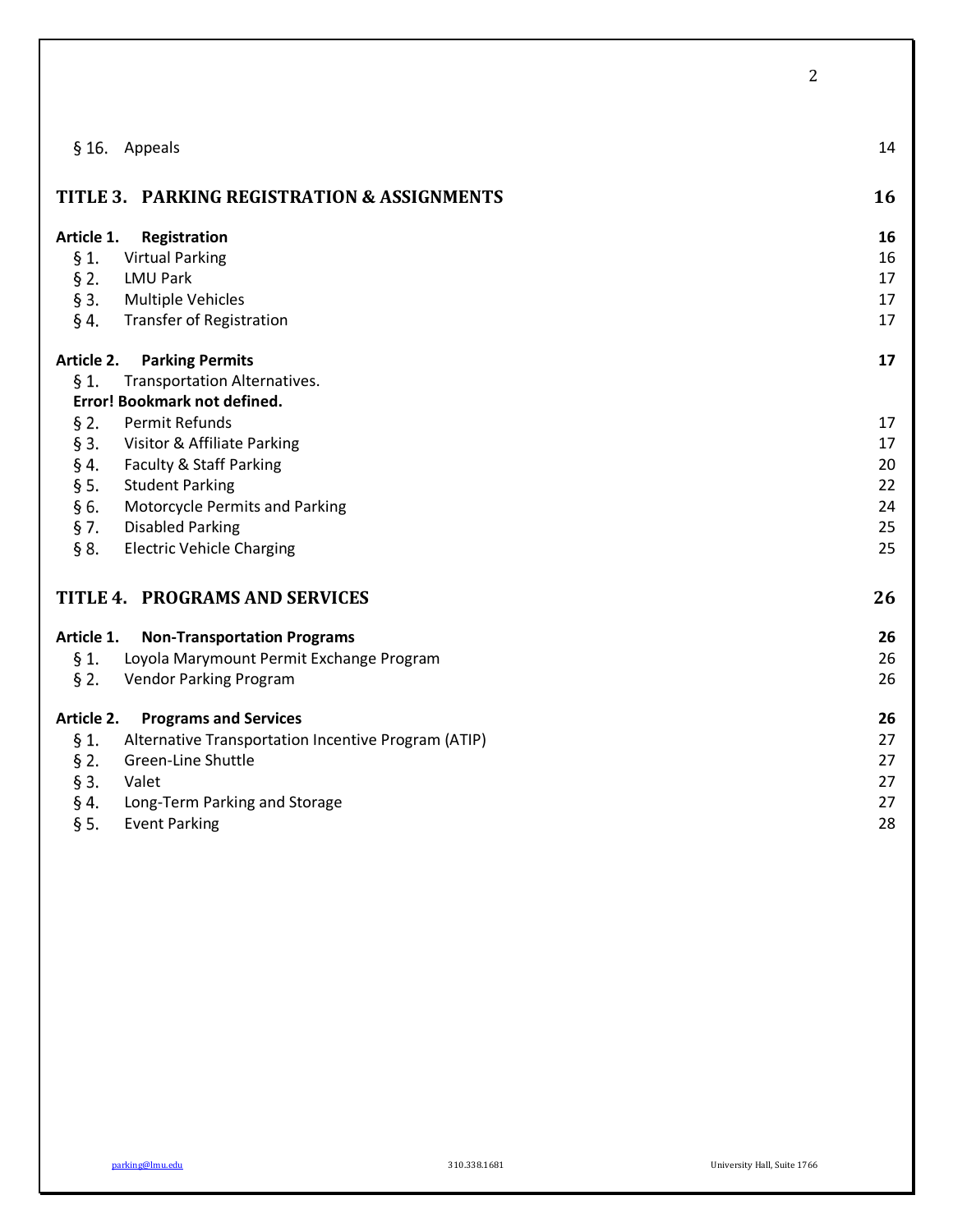|            |                                                     | 2  |
|------------|-----------------------------------------------------|----|
|            |                                                     |    |
|            |                                                     |    |
|            | § 16. Appeals                                       | 14 |
|            |                                                     |    |
|            | TITLE 3. PARKING REGISTRATION & ASSIGNMENTS         | 16 |
|            |                                                     |    |
| Article 1. | Registration                                        | 16 |
| § 1.       | <b>Virtual Parking</b>                              | 16 |
| $\S 2.$    | <b>LMU Park</b>                                     | 17 |
| $§$ 3.     | <b>Multiple Vehicles</b>                            | 17 |
| §4.        | <b>Transfer of Registration</b>                     | 17 |
|            |                                                     |    |
| Article 2. | <b>Parking Permits</b>                              | 17 |
| § 1.       | Transportation Alternatives.                        |    |
|            | Error! Bookmark not defined.                        |    |
| $\S 2.$    | Permit Refunds                                      | 17 |
| $§$ 3.     | Visitor & Affiliate Parking                         | 17 |
| § 4.       | Faculty & Staff Parking                             | 20 |
| § 5.       | <b>Student Parking</b>                              | 22 |
| §6.        | Motorcycle Permits and Parking                      | 24 |
| $\S$ 7.    | <b>Disabled Parking</b>                             | 25 |
| § 8.       | <b>Electric Vehicle Charging</b>                    | 25 |
|            |                                                     |    |
|            | TITLE 4. PROGRAMS AND SERVICES                      | 26 |
|            |                                                     |    |
| Article 1. | <b>Non-Transportation Programs</b>                  | 26 |
| $\S 1$ .   | Loyola Marymount Permit Exchange Program            | 26 |
| $§$ 2.     | Vendor Parking Program                              | 26 |
| Article 2. | <b>Programs and Services</b>                        | 26 |
| $\S 1.$    | Alternative Transportation Incentive Program (ATIP) | 27 |
| $\S 2.$    | Green-Line Shuttle                                  | 27 |
| $§$ 3.     | Valet                                               | 27 |
| §4.        | Long-Term Parking and Storage                       | 27 |
| § 5.       | <b>Event Parking</b>                                | 28 |
|            |                                                     |    |

parking@lmu.edu 310.338.1681 University Hall, Suite 1766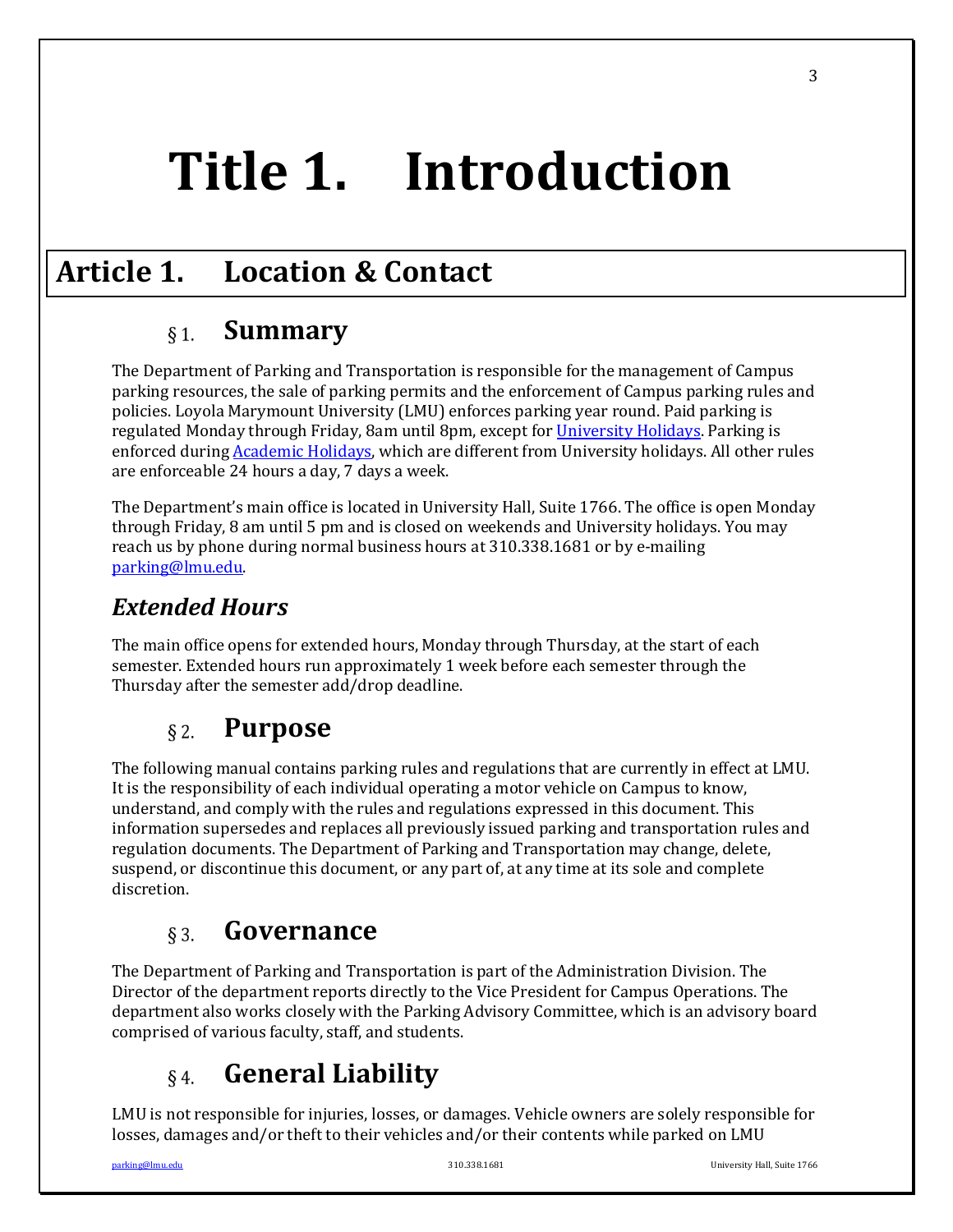# **Title 1. Introduction**

# **Article 1. Location & Contact**

#### **Summary**  $§ 1.$

The Department of Parking and Transportation is responsible for the management of Campus parking resources, the sale of parking permits and the enforcement of Campus parking rules and policies. Loyola Marymount University (LMU) enforces parking year round. Paid parking is regulated Monday through Friday, 8am until 8pm, except for University Holidays. Parking is enforced during Academic Holidays, which are different from University holidays. All other rules are enforceable 24 hours a day, 7 days a week.

The Department's main office is located in University Hall, Suite 1766. The office is open Monday through Friday, 8 am until 5 pm and is closed on weekends and University holidays. You may reach us by phone during normal business hours at 310.338.1681 or by e-mailing parking@lmu.edu. 

# *Extended Hours*

The main office opens for extended hours, Monday through Thursday, at the start of each semester. Extended hours run approximately 1 week before each semester through the Thursday after the semester add/drop deadline.

#### **Purpose**  $§$  2.

The following manual contains parking rules and regulations that are currently in effect at LMU. It is the responsibility of each individual operating a motor vehicle on Campus to know, understand, and comply with the rules and regulations expressed in this document. This information supersedes and replaces all previously issued parking and transportation rules and regulation documents. The Department of Parking and Transportation may change, delete, suspend, or discontinue this document, or any part of, at any time at its sole and complete discretion.

#### **Governance**   $\delta$  3.

The Department of Parking and Transportation is part of the Administration Division. The Director of the department reports directly to the Vice President for Campus Operations. The department also works closely with the Parking Advisory Committee, which is an advisory board comprised of various faculty, staff, and students.

#### **General Liability**  $§$ 4.

LMU is not responsible for injuries, losses, or damages. Vehicle owners are solely responsible for losses, damages and/or theft to their vehicles and/or their contents while parked on LMU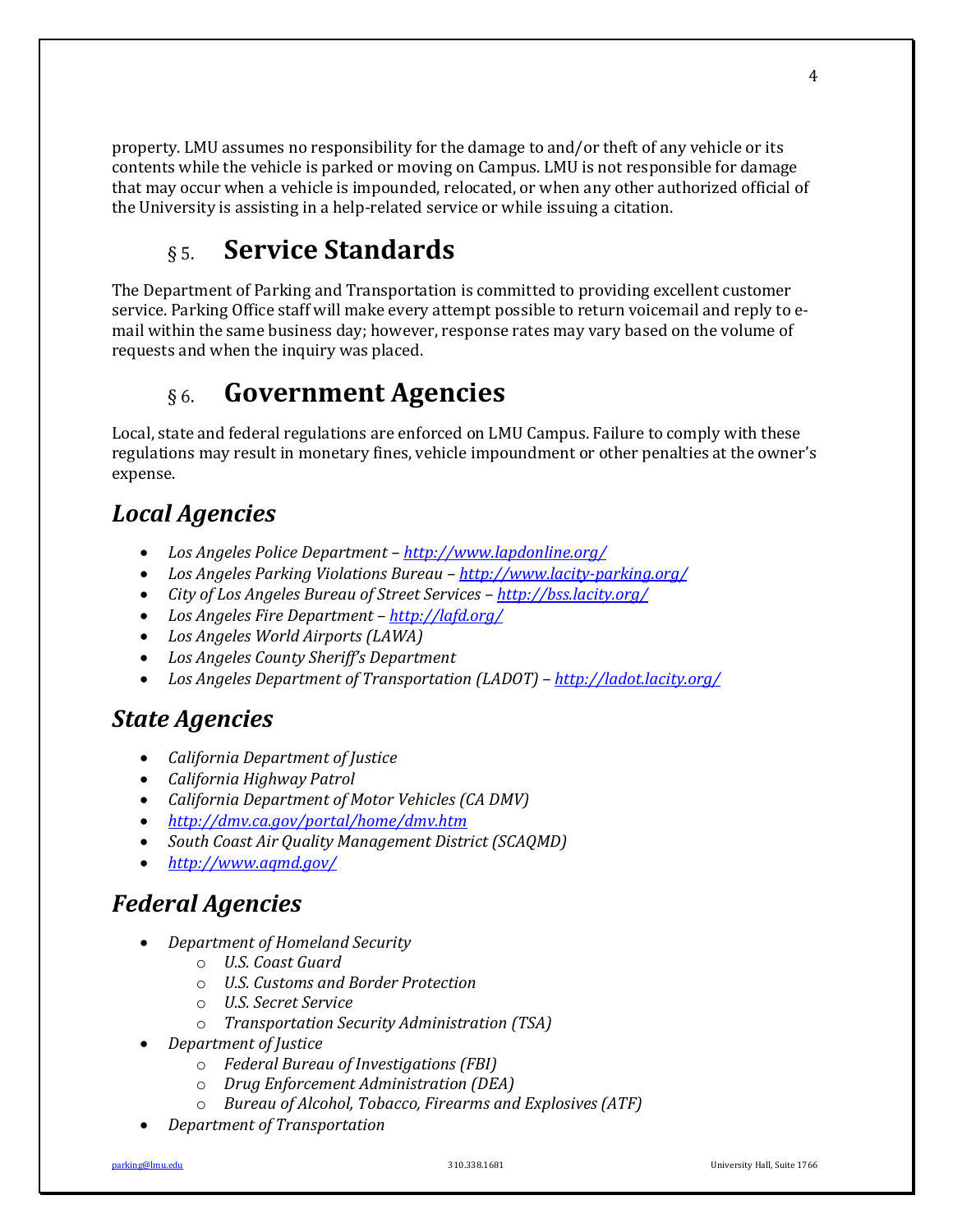property. LMU assumes no responsibility for the damage to and/or theft of any vehicle or its contents while the vehicle is parked or moving on Campus. LMU is not responsible for damage that may occur when a vehicle is impounded, relocated, or when any other authorized official of the University is assisting in a help-related service or while issuing a citation.

#### **Service Standards**  $\delta$  5.

The Department of Parking and Transportation is committed to providing excellent customer service. Parking Office staff will make every attempt possible to return voicemail and reply to email within the same business day; however, response rates may vary based on the volume of requests and when the inquiry was placed.

#### **Government Agencies**  $\delta$  6.

Local, state and federal regulations are enforced on LMU Campus. Failure to comply with these regulations may result in monetary fines, vehicle impoundment or other penalties at the owner's expense. 

# *Local Agencies*

- *Los Angeles Police Department http://www.lapdonline.org/*
- *Los Angeles Parking Violations Bureau http://www.lacity-parking.org/*
- *City of Los Angeles Bureau of Street Services http://bss.lacity.org/*
- *Los Angeles Fire Department – http://lafd.org/*
- *Los Angeles World Airports (LAWA)*
- *Los Angeles County Sheriff's Department*
- *Los Angeles Department of Transportation (LADOT)* http://ladot.lacity.org/

# *State Agencies*

- *California Department of Justice*
- *California Highway Patrol*
- *California Department of Motor Vehicles (CA DMV)*
- *http://dmv.ca.gov/portal/home/dmv.htm*
- South Coast Air Quality Management District (SCAQMD)
- *http://www.aqmd.gov/*

# *Federal Agencies*

- *Department of Homeland Security*
	- o *U.S. Coast Guard*
	- o *U.S. Customs and Border Protection*
	- o *U.S. Secret Service*
	- o *Transportation Security Administration (TSA)*
- *Department of Justice*
	- o *Federal Bureau of Investigations (FBI)*
	- o *Drug Enforcement Administration (DEA)*
	- o *Bureau of Alcohol, Tobacco, Firearms and Explosives (ATF)*
- *Department of Transportation*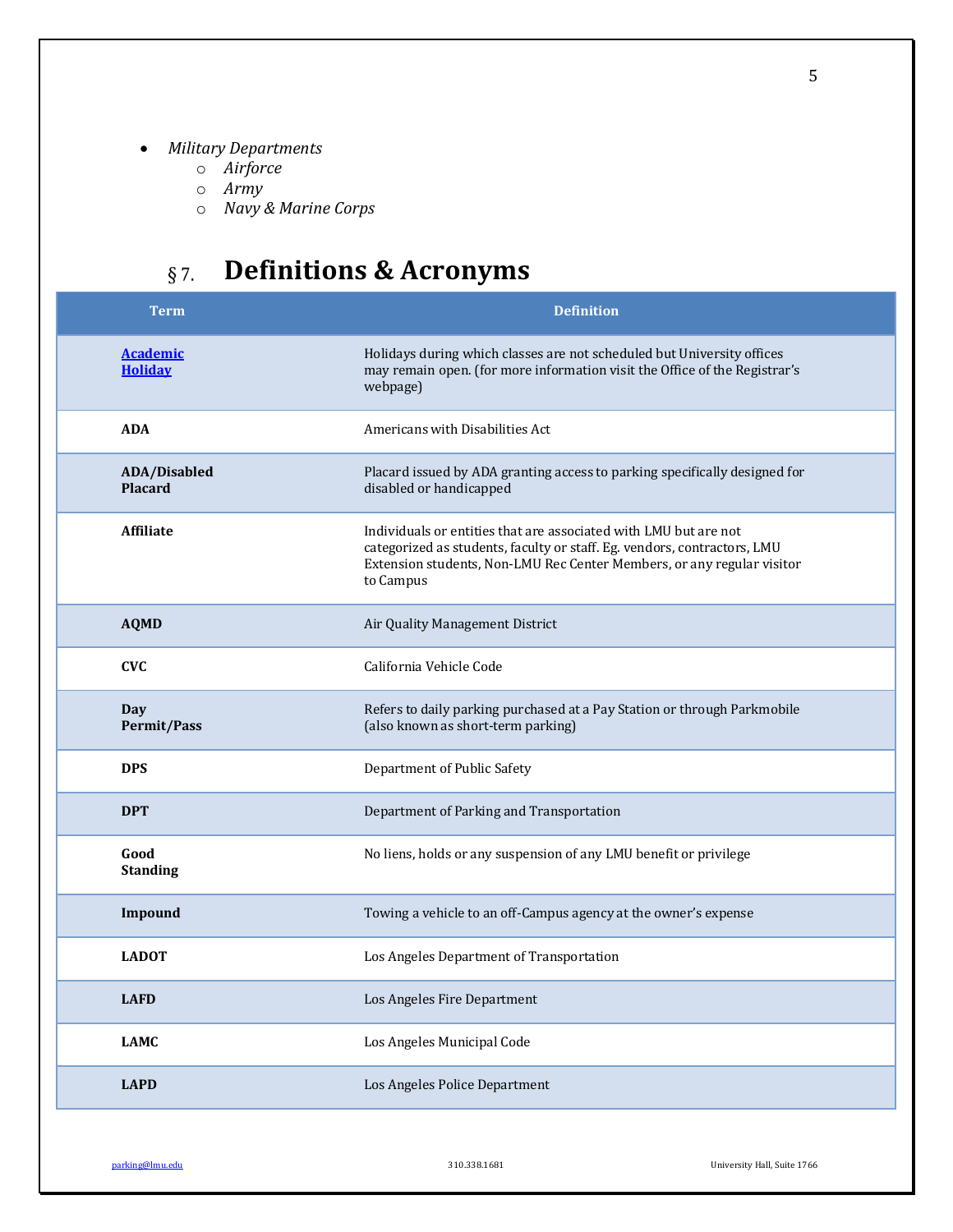- *Military Departments*
	- o *Airforce*
	- o *Army*
	- o *Navy & Marine Corps*

# **Definitions & Acronyms**

| <b>Term</b>                       | <b>Definition</b>                                                                                                                                                                                                                   |
|-----------------------------------|-------------------------------------------------------------------------------------------------------------------------------------------------------------------------------------------------------------------------------------|
| <b>Academic</b><br><b>Holiday</b> | Holidays during which classes are not scheduled but University offices<br>may remain open. (for more information visit the Office of the Registrar's<br>webpage)                                                                    |
| <b>ADA</b>                        | Americans with Disabilities Act                                                                                                                                                                                                     |
| ADA/Disabled<br><b>Placard</b>    | Placard issued by ADA granting access to parking specifically designed for<br>disabled or handicapped                                                                                                                               |
| <b>Affiliate</b>                  | Individuals or entities that are associated with LMU but are not<br>categorized as students, faculty or staff. Eg. vendors, contractors, LMU<br>Extension students, Non-LMU Rec Center Members, or any regular visitor<br>to Campus |
| <b>AQMD</b>                       | Air Quality Management District                                                                                                                                                                                                     |
| <b>CVC</b>                        | California Vehicle Code                                                                                                                                                                                                             |
| Day<br><b>Permit/Pass</b>         | Refers to daily parking purchased at a Pay Station or through Parkmobile<br>(also known as short-term parking)                                                                                                                      |
| <b>DPS</b>                        | Department of Public Safety                                                                                                                                                                                                         |
| <b>DPT</b>                        | Department of Parking and Transportation                                                                                                                                                                                            |
| Good<br><b>Standing</b>           | No liens, holds or any suspension of any LMU benefit or privilege                                                                                                                                                                   |
| Impound                           | Towing a vehicle to an off-Campus agency at the owner's expense                                                                                                                                                                     |
| <b>LADOT</b>                      | Los Angeles Department of Transportation                                                                                                                                                                                            |
| <b>LAFD</b>                       | Los Angeles Fire Department                                                                                                                                                                                                         |
| <b>LAMC</b>                       | Los Angeles Municipal Code                                                                                                                                                                                                          |
| <b>LAPD</b>                       | Los Angeles Police Department                                                                                                                                                                                                       |

parking@lmu.edu 310.338.1681 University Hall, Suite 1766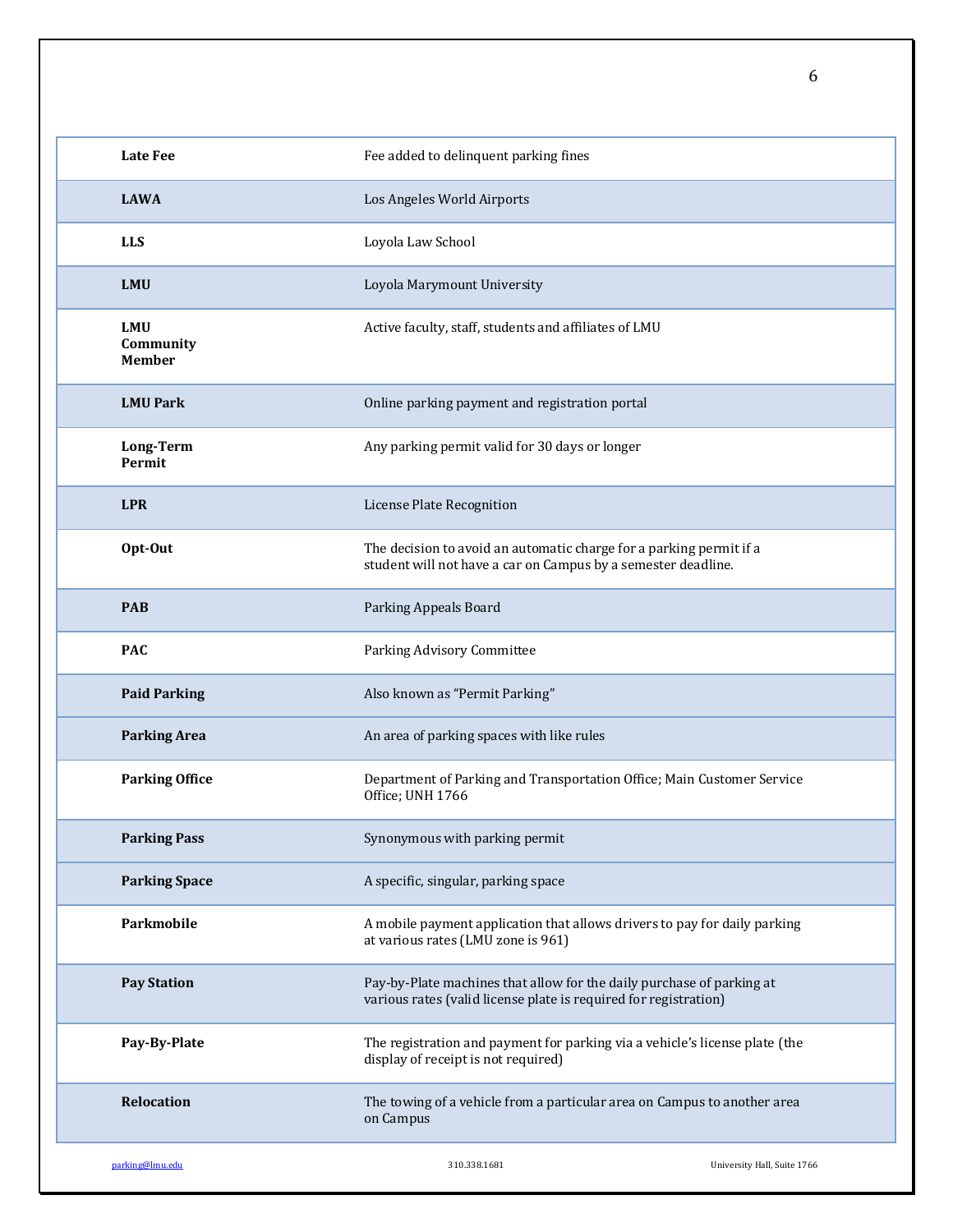| <b>Late Fee</b>                          | Fee added to delinquent parking fines                                                                                                     |                             |
|------------------------------------------|-------------------------------------------------------------------------------------------------------------------------------------------|-----------------------------|
| <b>LAWA</b>                              | Los Angeles World Airports                                                                                                                |                             |
| <b>LLS</b>                               | Loyola Law School                                                                                                                         |                             |
| <b>LMU</b>                               | Loyola Marymount University                                                                                                               |                             |
| <b>LMU</b><br>Community<br><b>Member</b> | Active faculty, staff, students and affiliates of LMU                                                                                     |                             |
| <b>LMU Park</b>                          | Online parking payment and registration portal                                                                                            |                             |
| Long-Term<br>Permit                      | Any parking permit valid for 30 days or longer                                                                                            |                             |
| <b>LPR</b>                               | License Plate Recognition                                                                                                                 |                             |
| Opt-Out                                  | The decision to avoid an automatic charge for a parking permit if a<br>student will not have a car on Campus by a semester deadline.      |                             |
| <b>PAB</b>                               | Parking Appeals Board                                                                                                                     |                             |
| <b>PAC</b>                               | Parking Advisory Committee                                                                                                                |                             |
| <b>Paid Parking</b>                      | Also known as "Permit Parking"                                                                                                            |                             |
| <b>Parking Area</b>                      | An area of parking spaces with like rules                                                                                                 |                             |
| <b>Parking Office</b>                    | Department of Parking and Transportation Office; Main Customer Service<br>Office; UNH 1766                                                |                             |
| <b>Parking Pass</b>                      | Synonymous with parking permit                                                                                                            |                             |
| <b>Parking Space</b>                     | A specific, singular, parking space                                                                                                       |                             |
| Parkmobile                               | A mobile payment application that allows drivers to pay for daily parking<br>at various rates (LMU zone is 961)                           |                             |
| <b>Pay Station</b>                       | Pay-by-Plate machines that allow for the daily purchase of parking at<br>various rates (valid license plate is required for registration) |                             |
| Pay-By-Plate                             | The registration and payment for parking via a vehicle's license plate (the<br>display of receipt is not required)                        |                             |
| Relocation                               | The towing of a vehicle from a particular area on Campus to another area<br>on Campus                                                     |                             |
| parking@lmu.edu                          | 310.338.1681                                                                                                                              | University Hall, Suite 1766 |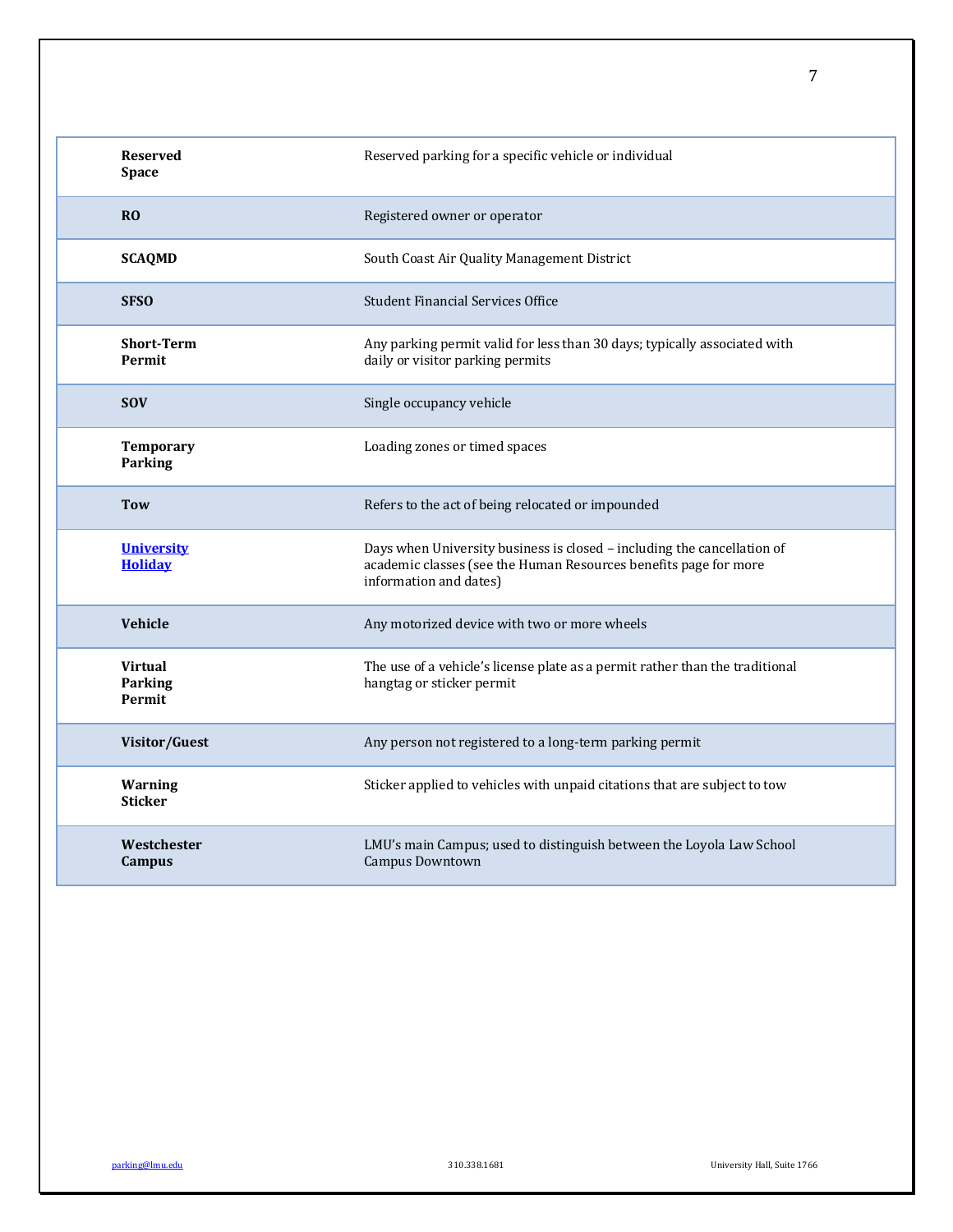| <b>Reserved</b><br><b>Space</b>     | Reserved parking for a specific vehicle or individual                                                                                                                 |
|-------------------------------------|-----------------------------------------------------------------------------------------------------------------------------------------------------------------------|
| R <sub>0</sub>                      | Registered owner or operator                                                                                                                                          |
| <b>SCAQMD</b>                       | South Coast Air Quality Management District                                                                                                                           |
| <b>SFSO</b>                         | <b>Student Financial Services Office</b>                                                                                                                              |
| <b>Short-Term</b><br><b>Permit</b>  | Any parking permit valid for less than 30 days; typically associated with<br>daily or visitor parking permits                                                         |
| <b>SOV</b>                          | Single occupancy vehicle                                                                                                                                              |
| <b>Temporary</b><br>Parking         | Loading zones or timed spaces                                                                                                                                         |
| <b>Tow</b>                          | Refers to the act of being relocated or impounded                                                                                                                     |
| <b>University</b><br><b>Holiday</b> | Days when University business is closed - including the cancellation of<br>academic classes (see the Human Resources benefits page for more<br>information and dates) |
| <b>Vehicle</b>                      | Any motorized device with two or more wheels                                                                                                                          |
| <b>Virtual</b><br>Parking<br>Permit | The use of a vehicle's license plate as a permit rather than the traditional<br>hangtag or sticker permit                                                             |
| Visitor/Guest                       | Any person not registered to a long-term parking permit                                                                                                               |
| <b>Warning</b><br><b>Sticker</b>    | Sticker applied to vehicles with unpaid citations that are subject to tow                                                                                             |
| Westchester<br><b>Campus</b>        | LMU's main Campus; used to distinguish between the Loyola Law School<br>Campus Downtown                                                                               |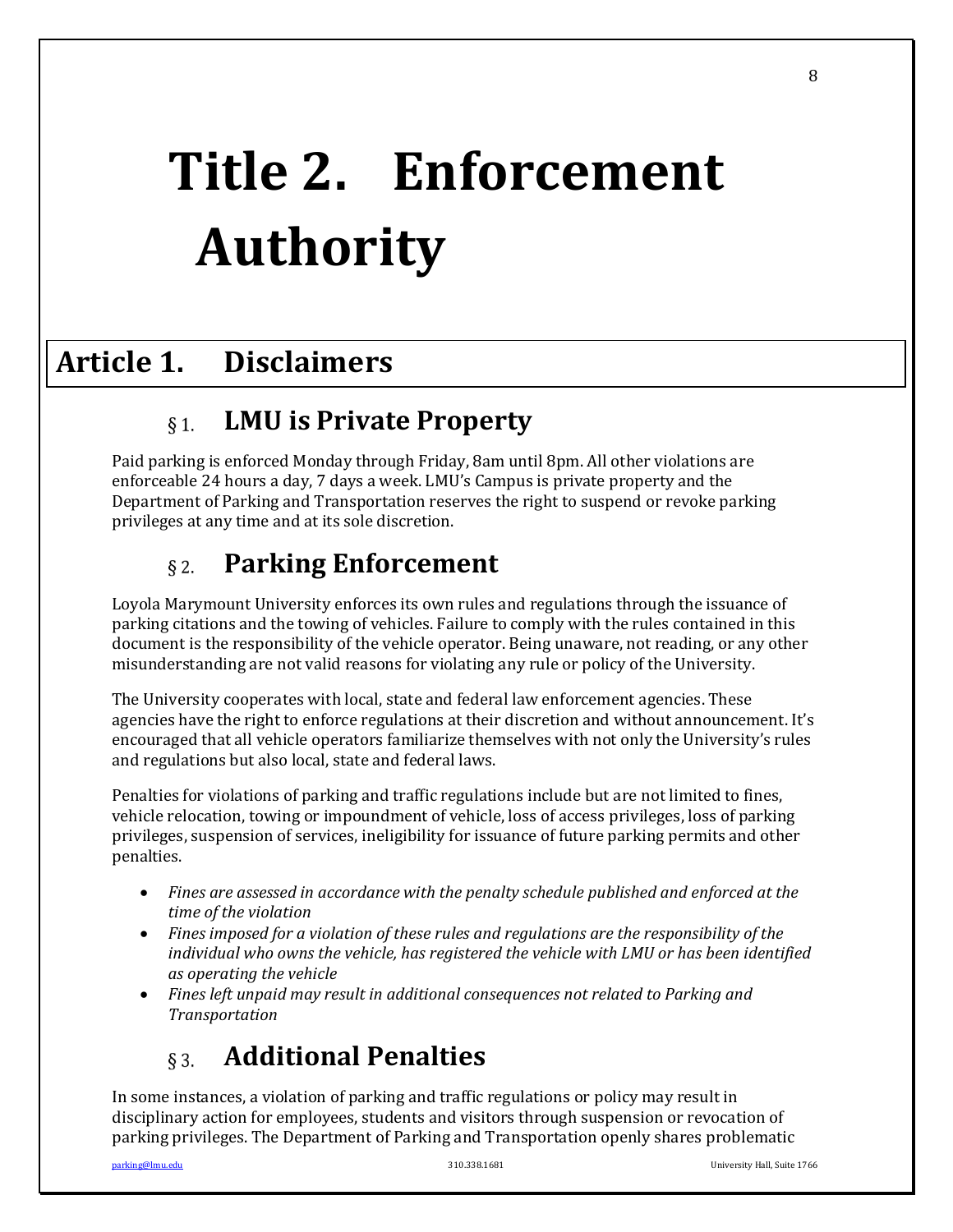# **Title 2. Enforcement Authority**

# **Article 1. Disclaimers**

#### **LMU is Private Property**  $\S 1$ .

Paid parking is enforced Monday through Friday, 8am until 8pm. All other violations are enforceable 24 hours a day, 7 days a week. LMU's Campus is private property and the Department of Parking and Transportation reserves the right to suspend or revoke parking privileges at any time and at its sole discretion.

#### **Parking Enforcement**  $\delta$  2.

Loyola Marymount University enforces its own rules and regulations through the issuance of parking citations and the towing of vehicles. Failure to comply with the rules contained in this document is the responsibility of the vehicle operator. Being unaware, not reading, or any other misunderstanding are not valid reasons for violating any rule or policy of the University.

The University cooperates with local, state and federal law enforcement agencies. These agencies have the right to enforce regulations at their discretion and without announcement. It's encouraged that all vehicle operators familiarize themselves with not only the University's rules and regulations but also local, state and federal laws.

Penalties for violations of parking and traffic regulations include but are not limited to fines, vehicle relocation, towing or impoundment of vehicle, loss of access privileges, loss of parking privileges, suspension of services, ineligibility for issuance of future parking permits and other penalties. 

- Fines are assessed in accordance with the penalty schedule published and enforced at the *time of the violation*
- Fines imposed for a violation of these rules and regulations are the responsibility of the *individual* who owns the vehicle, has registered the vehicle with LMU or has been identified *as operating the vehicle*
- Fines left unpaid may result in additional consequences not related to Parking and *Transportation*

#### **Additional Penalties**  $\S$  3.

In some instances, a violation of parking and traffic regulations or policy may result in disciplinary action for employees, students and visitors through suspension or revocation of parking privileges. The Department of Parking and Transportation openly shares problematic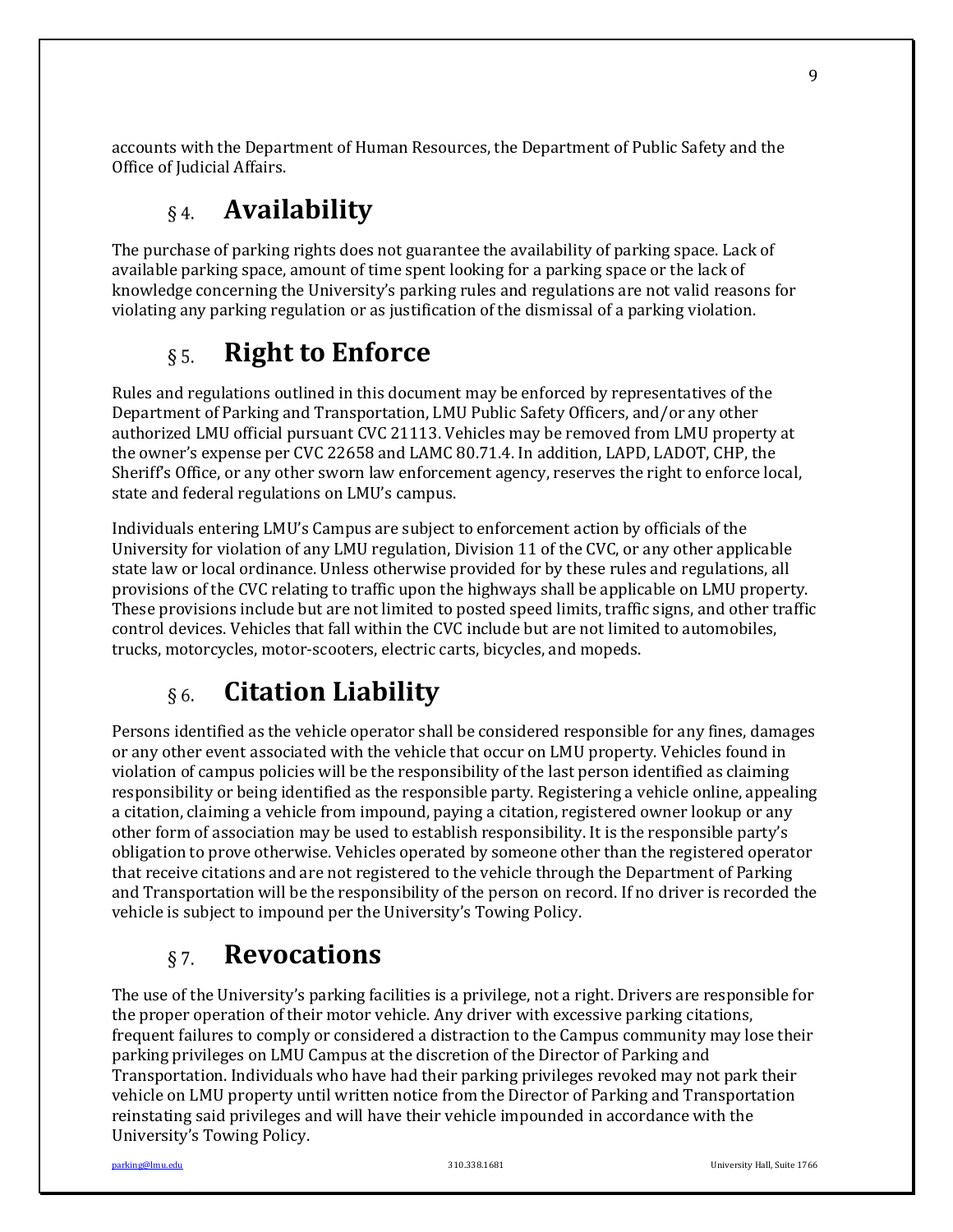accounts with the Department of Human Resources, the Department of Public Safety and the Office of Judicial Affairs.

#### **Availability**   $\,$   $\,$  4.

The purchase of parking rights does not guarantee the availability of parking space. Lack of available parking space, amount of time spent looking for a parking space or the lack of knowledge concerning the University's parking rules and regulations are not valid reasons for violating any parking regulation or as justification of the dismissal of a parking violation.

#### **Right to Enforce**  $§ 5.$

Rules and regulations outlined in this document may be enforced by representatives of the Department of Parking and Transportation, LMU Public Safety Officers, and/or any other authorized LMU official pursuant CVC 21113. Vehicles may be removed from LMU property at the owner's expense per CVC 22658 and LAMC 80.71.4. In addition, LAPD, LADOT, CHP, the Sheriff's Office, or any other sworn law enforcement agency, reserves the right to enforce local, state and federal regulations on LMU's campus.

Individuals entering LMU's Campus are subject to enforcement action by officials of the University for violation of any LMU regulation, Division 11 of the CVC, or any other applicable state law or local ordinance. Unless otherwise provided for by these rules and regulations, all provisions of the CVC relating to traffic upon the highways shall be applicable on LMU property. These provisions include but are not limited to posted speed limits, traffic signs, and other traffic control devices. Vehicles that fall within the CVC include but are not limited to automobiles, trucks, motorcycles, motor-scooters, electric carts, bicycles, and mopeds.

#### **Citation Liability**   $\delta$  6.

Persons identified as the vehicle operator shall be considered responsible for any fines, damages or any other event associated with the vehicle that occur on LMU property. Vehicles found in violation of campus policies will be the responsibility of the last person identified as claiming responsibility or being identified as the responsible party. Registering a vehicle online, appealing a citation, claiming a vehicle from impound, paying a citation, registered owner lookup or any other form of association may be used to establish responsibility. It is the responsible party's obligation to prove otherwise. Vehicles operated by someone other than the registered operator that receive citations and are not registered to the vehicle through the Department of Parking and Transportation will be the responsibility of the person on record. If no driver is recorded the vehicle is subject to impound per the University's Towing Policy.

#### **Revocations**  $§ 7.$

The use of the University's parking facilities is a privilege, not a right. Drivers are responsible for the proper operation of their motor vehicle. Any driver with excessive parking citations, frequent failures to comply or considered a distraction to the Campus community may lose their parking privileges on LMU Campus at the discretion of the Director of Parking and Transportation. Individuals who have had their parking privileges revoked may not park their vehicle on LMU property until written notice from the Director of Parking and Transportation reinstating said privileges and will have their vehicle impounded in accordance with the University's Towing Policy.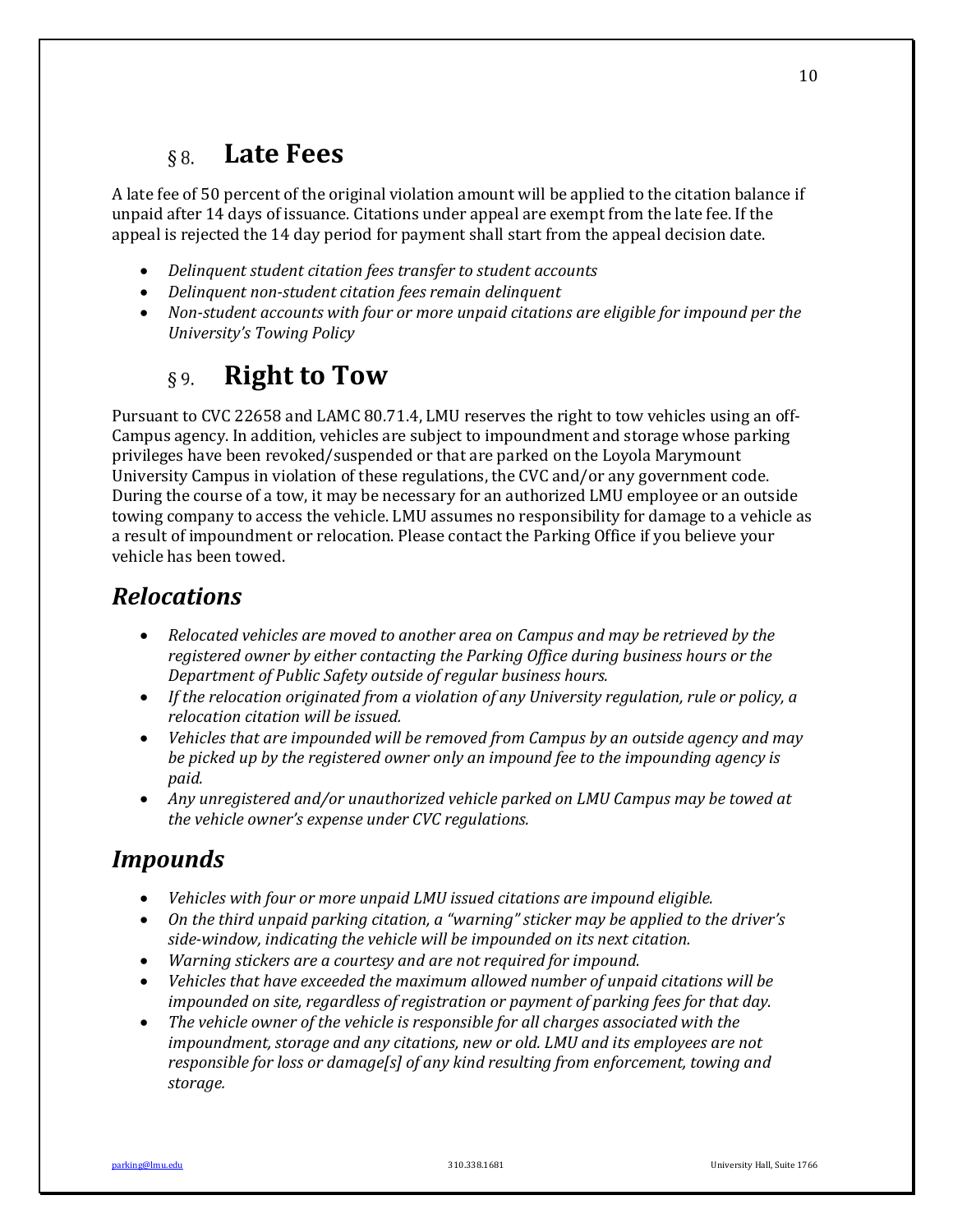#### **Late Fees**  $§ 8.$

A late fee of 50 percent of the original violation amount will be applied to the citation balance if unpaid after 14 days of issuance. Citations under appeal are exempt from the late fee. If the appeal is rejected the 14 day period for payment shall start from the appeal decision date.

- Delinquent student citation fees transfer to student accounts
- Delinquent non-student citation fees remain delinquent
- Non-student accounts with four or more unpaid citations are eligible for impound per the *University's Towing Policy*

#### **Right to Tow**  $89.$

Pursuant to CVC 22658 and LAMC 80.71.4, LMU reserves the right to tow vehicles using an off-Campus agency. In addition, vehicles are subject to impoundment and storage whose parking privileges have been revoked/suspended or that are parked on the Loyola Marymount University Campus in violation of these regulations, the CVC and/or any government code. During the course of a tow, it may be necessary for an authorized LMU employee or an outside towing company to access the vehicle. LMU assumes no responsibility for damage to a vehicle as a result of impoundment or relocation. Please contact the Parking Office if you believe your vehicle has been towed.

# *Relocations*

- *Relocated vehicles are moved to another area on Campus and may be retrieved by the registered owner by either contacting the Parking Office during business hours or the Department of Public Safety outside of regular business hours.*
- If the relocation originated from a violation of any University regulation, rule or policy, a *relocation citation will be issued.*
- Vehicles that are impounded will be removed from Campus by an outside agency and may *be* picked up by the registered owner only an impound fee to the impounding agency is *paid.*
- Any unregistered and/or unauthorized vehicle parked on LMU Campus may be towed at *the vehicle owner's expense under CVC regulations.*

# *Impounds*

- *Vehicles with four or more unpaid LMU issued citations are impound eligible.*
- On the third unpaid parking citation, a "warning" sticker may be applied to the driver's side-window, indicating the vehicle will be impounded on its next citation.
- *Warning stickers are a courtesy and are not required for impound.*
- Vehicles that have exceeded the maximum allowed number of unpaid citations will be *impounded on site, regardless of registration or payment of parking fees for that day.*
- The vehicle owner of the vehicle is responsible for all charges associated with the *impoundment, storage and any citations, new or old. LMU and its employees are not responsible for loss or damage[s]* of any kind resulting from enforcement, towing and *storage.*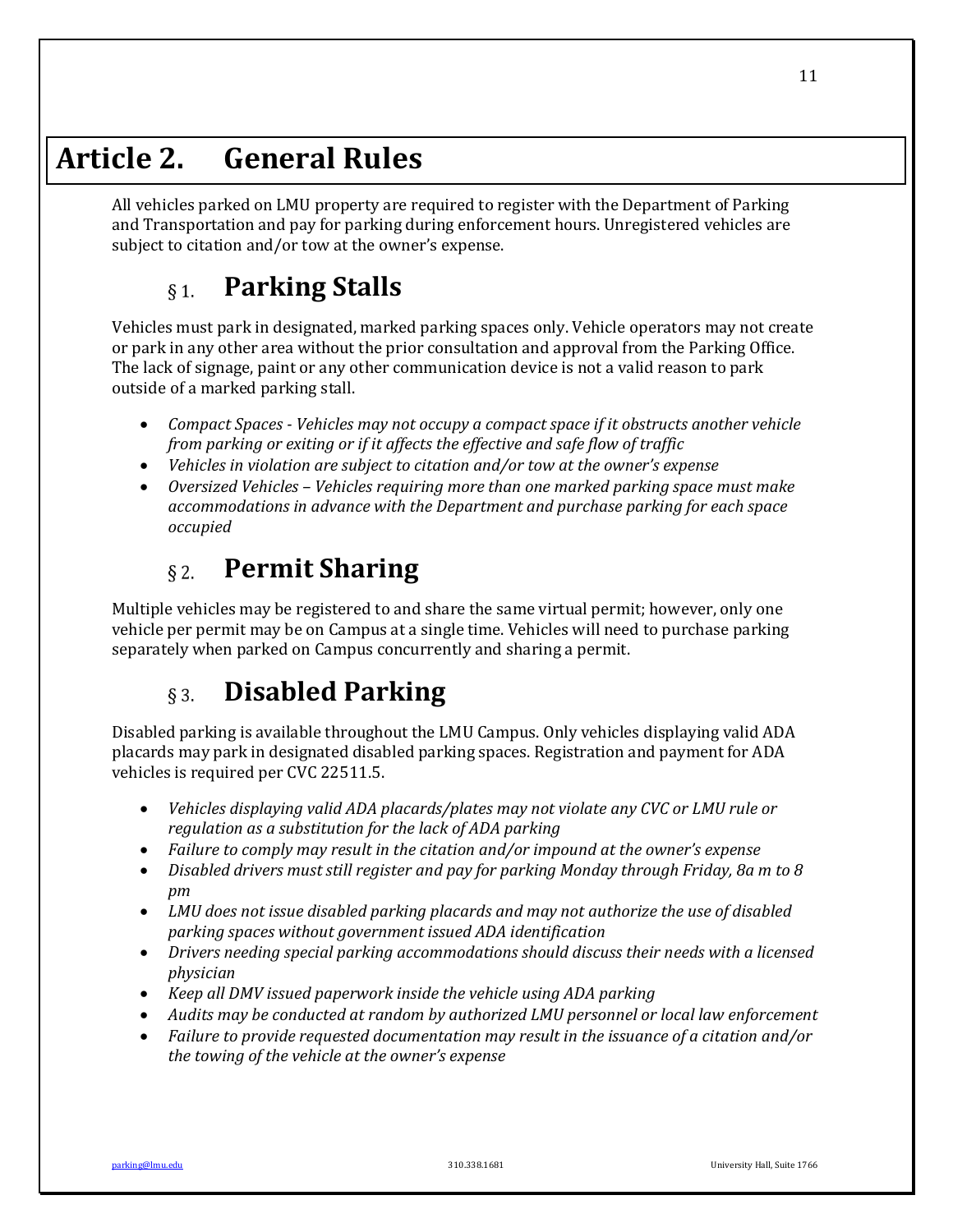# **Article 2. General Rules**

All vehicles parked on LMU property are required to register with the Department of Parking and Transportation and pay for parking during enforcement hours. Unregistered vehicles are subject to citation and/or tow at the owner's expense.

#### **Parking Stalls**  $§$  1.

Vehicles must park in designated, marked parking spaces only. Vehicle operators may not create or park in any other area without the prior consultation and approval from the Parking Office. The lack of signage, paint or any other communication device is not a valid reason to park outside of a marked parking stall.

- *Compact Spaces Vehicles may not occupy a compact space if it obstructs another vehicle from parking or exiting or if it affects the effective and safe flow of traffic*
- Vehicles in violation are subject to citation and/or tow at the owner's expense
- Oversized Vehicles Vehicles requiring more than one marked parking space must make *accommodations in advance with the Department and purchase parking for each space occupied*

#### **Permit Sharing**  $\S$  2.

Multiple vehicles may be registered to and share the same virtual permit; however, only one vehicle per permit may be on Campus at a single time. Vehicles will need to purchase parking separately when parked on Campus concurrently and sharing a permit.

#### **Disabled Parking**  $\S$  3.

Disabled parking is available throughout the LMU Campus. Only vehicles displaying valid ADA placards may park in designated disabled parking spaces. Registration and payment for ADA vehicles is required per CVC 22511.5.

- *Vehicles displaying valid ADA placards/plates may not violate any CVC or LMU rule or* regulation as a substitution for the lack of ADA parking
- Failure to comply may result in the citation and/or impound at the owner's expense
- Disabled drivers must still register and pay for parking Monday through Friday, 8a m to 8 *pm*
- LMU does not issue disabled parking placards and may not authorize the use of disabled *parking spaces without government issued ADA identification*
- Drivers needing special parking accommodations should discuss their needs with a licensed *physician*
- *Keep all DMV issued paperwork inside the vehicle using ADA parking*
- Audits may be conducted at random by authorized LMU personnel or local law enforcement
- Failure to provide requested documentation may result in the issuance of a citation and/or the towing of the vehicle at the owner's expense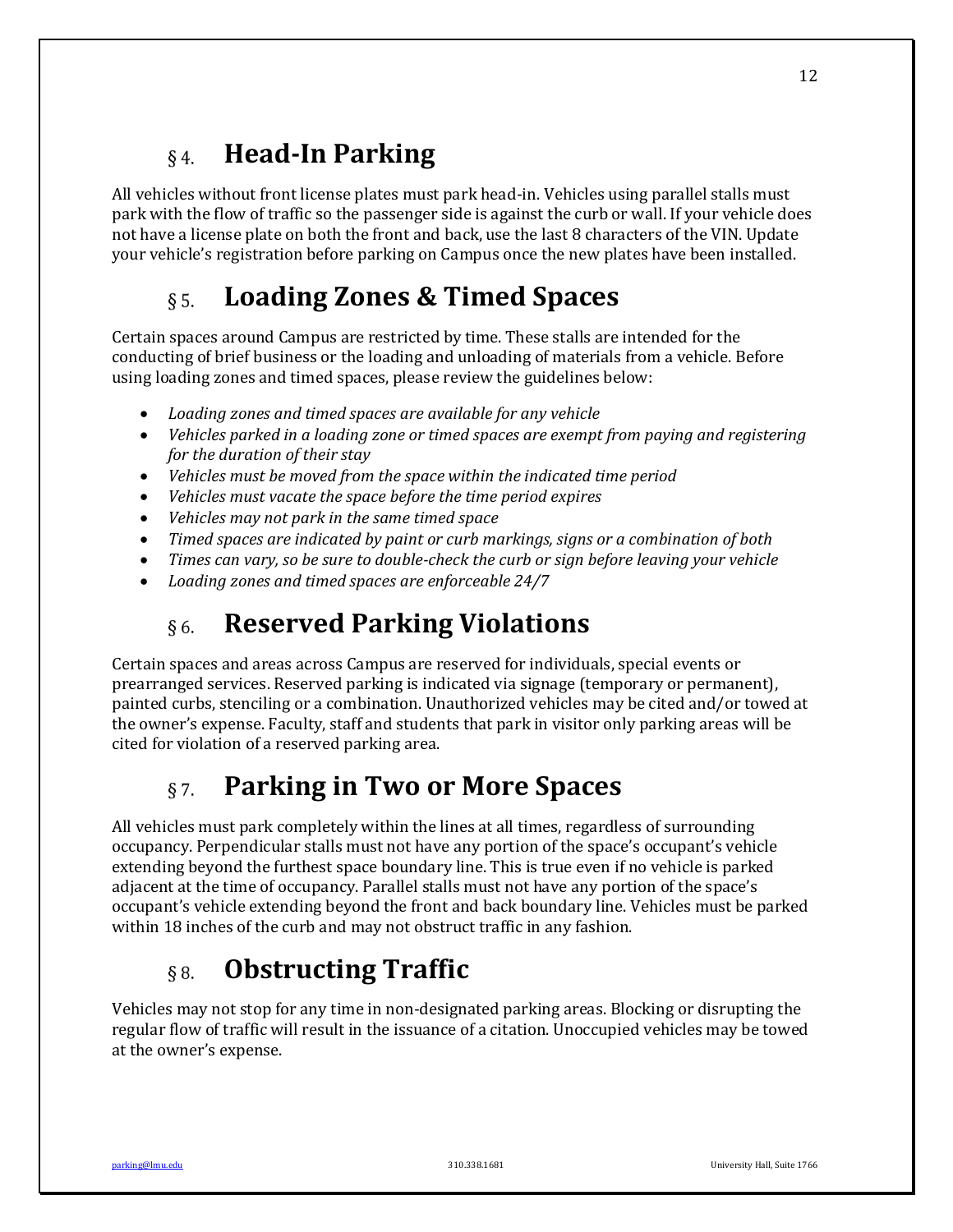#### **Head-In Parking**  $\S 4.$

All vehicles without front license plates must park head-in. Vehicles using parallel stalls must park with the flow of traffic so the passenger side is against the curb or wall. If your vehicle does not have a license plate on both the front and back, use the last 8 characters of the VIN. Update your vehicle's registration before parking on Campus once the new plates have been installed.

#### **Loading Zones & Timed Spaces**  $\delta$  5.

Certain spaces around Campus are restricted by time. These stalls are intended for the conducting of brief business or the loading and unloading of materials from a vehicle. Before using loading zones and timed spaces, please review the guidelines below:

- Loading zones and timed spaces are available for any vehicle
- Vehicles parked in a loading zone or timed spaces are exempt from paying and registering *for the duration of their stay*
- Vehicles must be moved from the space within the indicated time period
- Vehicles must vacate the space before the time period expires
- Vehicles may not park in the same timed space
- *Timed spaces are indicated by paint or curb markings, signs or a combination of both*
- Times can vary, so be sure to double-check the curb or sign before leaving your vehicle
- Loading zones and timed spaces are enforceable 24/7

#### **Reserved Parking Violations**  $\delta$  6.

Certain spaces and areas across Campus are reserved for individuals, special events or prearranged services. Reserved parking is indicated via signage (temporary or permanent), painted curbs, stenciling or a combination. Unauthorized vehicles may be cited and/or towed at the owner's expense. Faculty, staff and students that park in visitor only parking areas will be cited for violation of a reserved parking area.

#### **Parking in Two or More Spaces**  $\S 7.$

All vehicles must park completely within the lines at all times, regardless of surrounding occupancy. Perpendicular stalls must not have any portion of the space's occupant's vehicle extending beyond the furthest space boundary line. This is true even if no vehicle is parked adjacent at the time of occupancy. Parallel stalls must not have any portion of the space's occupant's vehicle extending beyond the front and back boundary line. Vehicles must be parked within 18 inches of the curb and may not obstruct traffic in any fashion.

#### **Obstructing Traffic**  $\delta$  8.

Vehicles may not stop for any time in non-designated parking areas. Blocking or disrupting the regular flow of traffic will result in the issuance of a citation. Unoccupied vehicles may be towed at the owner's expense.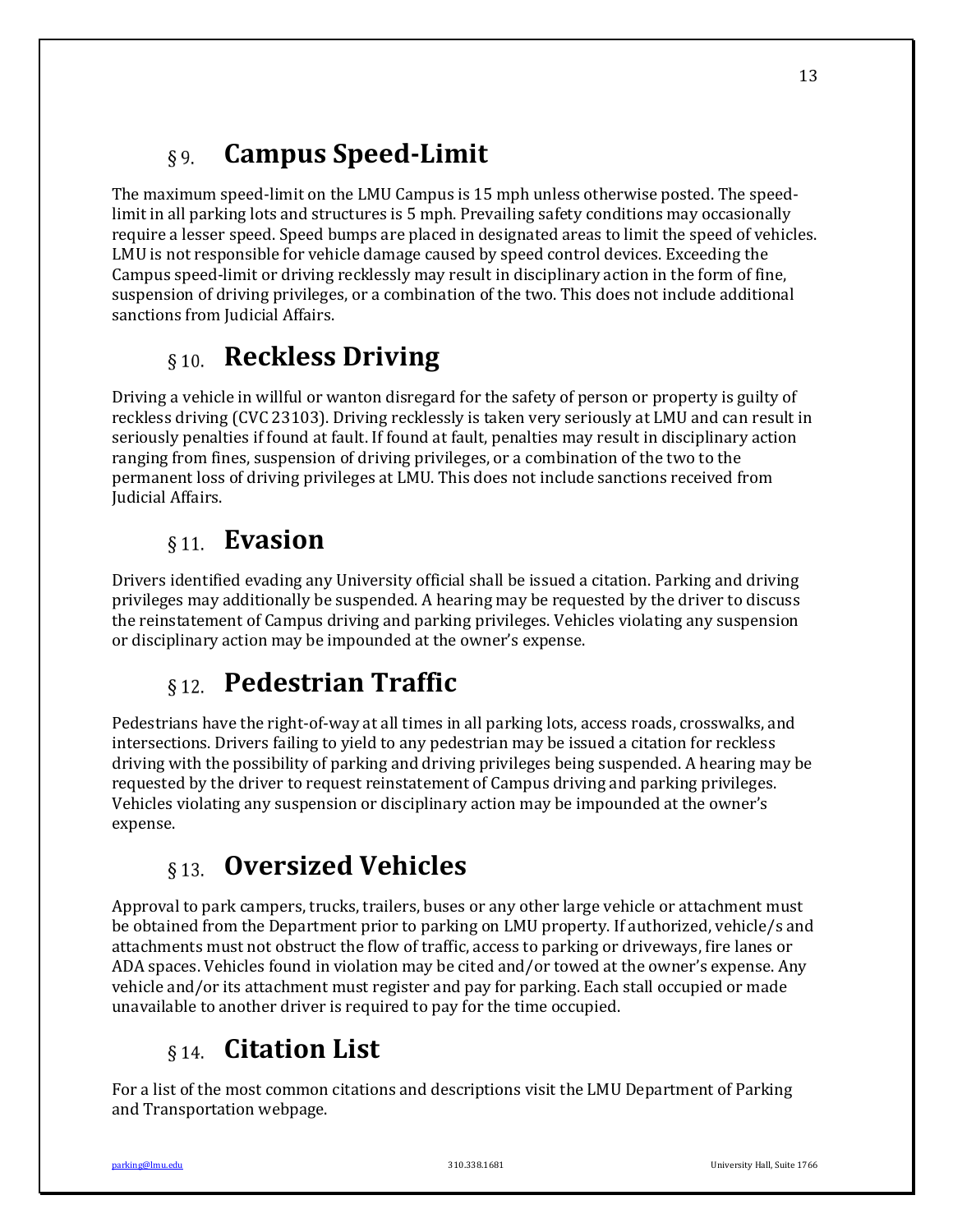#### **Campus Speed-Limit**  $§9.$

The maximum speed-limit on the LMU Campus is 15 mph unless otherwise posted. The speedlimit in all parking lots and structures is 5 mph. Prevailing safety conditions may occasionally require a lesser speed. Speed bumps are placed in designated areas to limit the speed of vehicles. LMU is not responsible for vehicle damage caused by speed control devices. Exceeding the Campus speed-limit or driving recklessly may result in disciplinary action in the form of fine, suspension of driving privileges, or a combination of the two. This does not include additional sanctions from Judicial Affairs.

# §10. **Reckless Driving**

Driving a vehicle in willful or wanton disregard for the safety of person or property is guilty of reckless driving (CVC 23103). Driving recklessly is taken very seriously at LMU and can result in seriously penalties if found at fault. If found at fault, penalties may result in disciplinary action ranging from fines, suspension of driving privileges, or a combination of the two to the permanent loss of driving privileges at LMU. This does not include sanctions received from Judicial Affairs.

# **Evasion**

Drivers identified evading any University official shall be issued a citation. Parking and driving privileges may additionally be suspended. A hearing may be requested by the driver to discuss the reinstatement of Campus driving and parking privileges. Vehicles violating any suspension or disciplinary action may be impounded at the owner's expense.

# **Pedestrian Traffic**

Pedestrians have the right-of-way at all times in all parking lots, access roads, crosswalks, and intersections. Drivers failing to yield to any pedestrian may be issued a citation for reckless driving with the possibility of parking and driving privileges being suspended. A hearing may be requested by the driver to request reinstatement of Campus driving and parking privileges. Vehicles violating any suspension or disciplinary action may be impounded at the owner's expense. 

# **813 Oversized Vehicles**

Approval to park campers, trucks, trailers, buses or any other large vehicle or attachment must be obtained from the Department prior to parking on LMU property. If authorized, vehicle/s and attachments must not obstruct the flow of traffic, access to parking or driveways, fire lanes or ADA spaces. Vehicles found in violation may be cited and/or towed at the owner's expense. Any vehicle and/or its attachment must register and pay for parking. Each stall occupied or made unavailable to another driver is required to pay for the time occupied.

# **Citation List**

For a list of the most common citations and descriptions visit the LMU Department of Parking and Transportation webpage.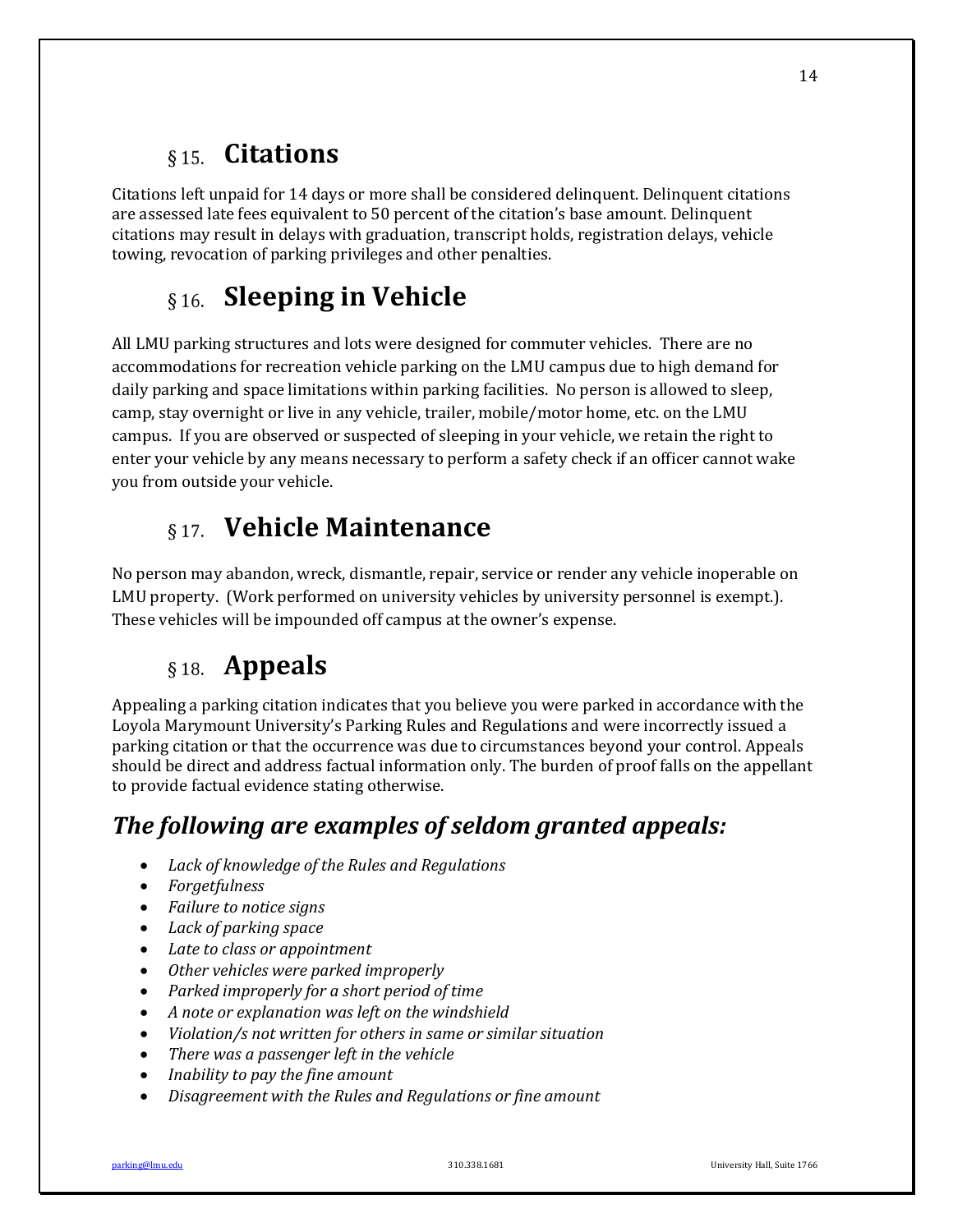# **Citations**

Citations left unpaid for 14 days or more shall be considered delinguent. Delinquent citations are assessed late fees equivalent to 50 percent of the citation's base amount. Delinquent citations may result in delays with graduation, transcript holds, registration delays, vehicle towing, revocation of parking privileges and other penalties.

# **S** 16. Sleeping in Vehicle

All LMU parking structures and lots were designed for commuter vehicles. There are no accommodations for recreation vehicle parking on the LMU campus due to high demand for daily parking and space limitations within parking facilities. No person is allowed to sleep, camp, stay overnight or live in any vehicle, trailer, mobile/motor home, etc. on the LMU campus. If you are observed or suspected of sleeping in your vehicle, we retain the right to enter your vehicle by any means necessary to perform a safety check if an officer cannot wake you from outside your vehicle.

# **Vehicle Maintenance**

No person may abandon, wreck, dismantle, repair, service or render any vehicle inoperable on LMU property. (Work performed on university vehicles by university personnel is exempt.). These vehicles will be impounded off campus at the owner's expense.

# **Appeals**

Appealing a parking citation indicates that you believe you were parked in accordance with the Loyola Marymount University's Parking Rules and Regulations and were incorrectly issued a parking citation or that the occurrence was due to circumstances beyond your control. Appeals should be direct and address factual information only. The burden of proof falls on the appellant to provide factual evidence stating otherwise.

# The following are examples of seldom granted appeals:

- *Lack of knowledge of the Rules and Regulations*
- *Forgetfulness*
- Failure to notice signs
- Lack of parking space
- Late to class or appointment
- Other vehicles were parked improperly
- Parked *improperly* for a short period of time
- A note or explanation was left on the windshield
- *Violation/s not written for others in same or similar situation*
- There was a passenger left in the vehicle
- *Inability to pay the fine amount*
- Disagreement with the Rules and Regulations or fine amount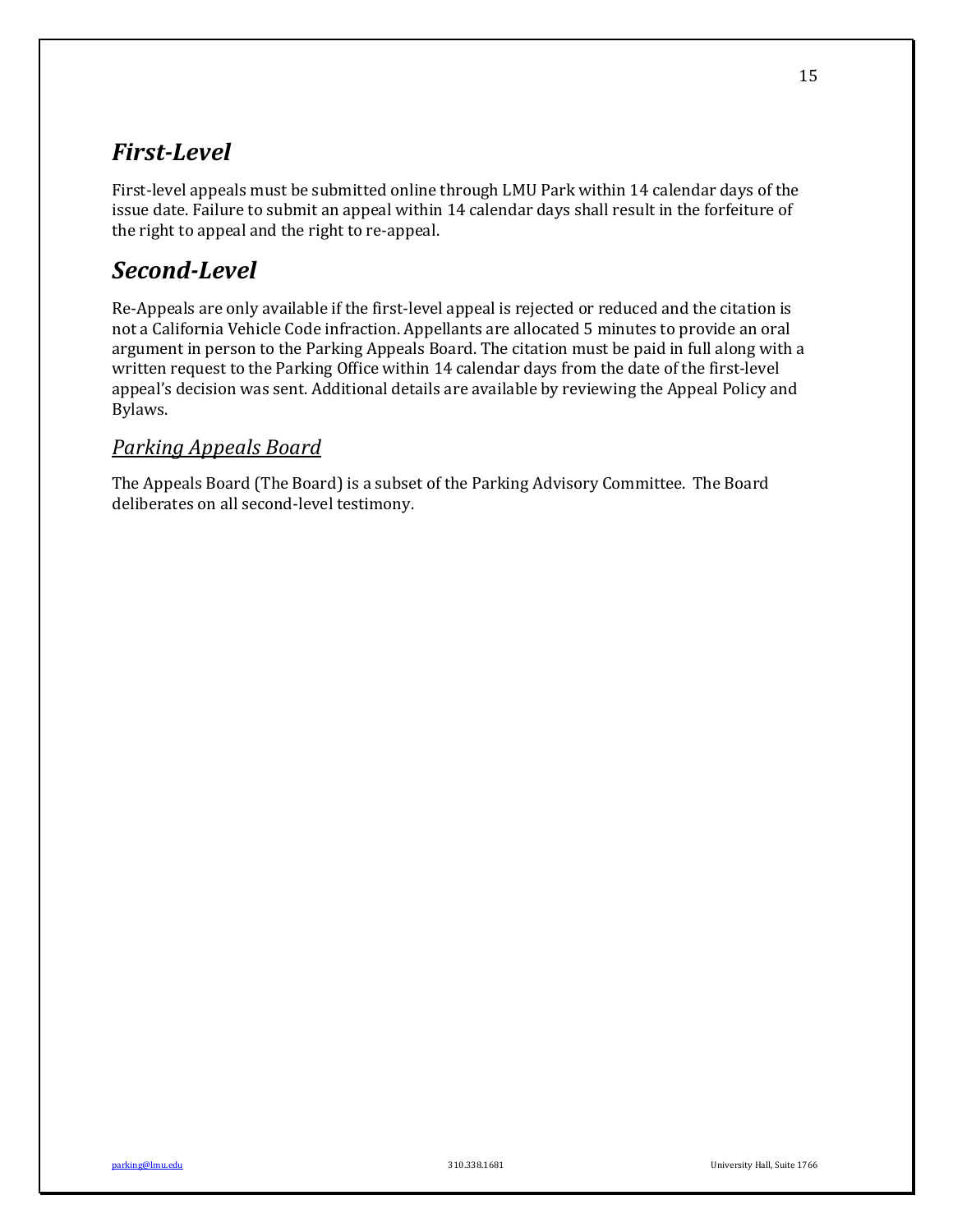## *First-Level*

First-level appeals must be submitted online through LMU Park within 14 calendar days of the issue date. Failure to submit an appeal within 14 calendar days shall result in the forfeiture of the right to appeal and the right to re-appeal.

# *Second-Level*

Re-Appeals are only available if the first-level appeal is rejected or reduced and the citation is not a California Vehicle Code infraction. Appellants are allocated 5 minutes to provide an oral argument in person to the Parking Appeals Board. The citation must be paid in full along with a written request to the Parking Office within 14 calendar days from the date of the first-level appeal's decision was sent. Additional details are available by reviewing the Appeal Policy and Bylaws.

## *Parking Appeals Board*

The Appeals Board (The Board) is a subset of the Parking Advisory Committee. The Board deliberates on all second-level testimony.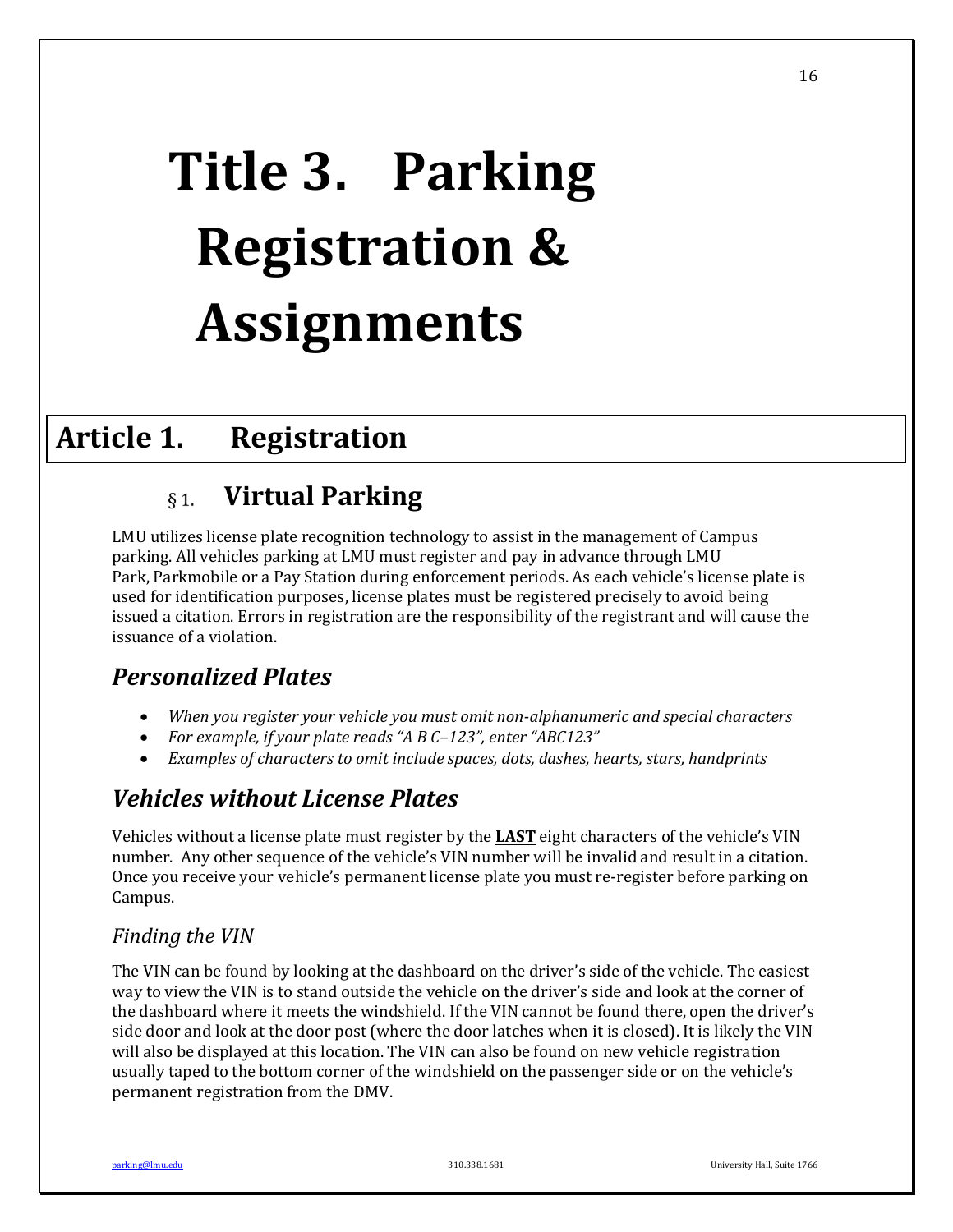# **Title 3. Parking Registration & Assignments**

# **Article 1. Registration**

#### **Virtual Parking**  $\delta$  1.

LMU utilizes license plate recognition technology to assist in the management of Campus parking. All vehicles parking at LMU must register and pay in advance through LMU Park, Parkmobile or a Pay Station during enforcement periods. As each vehicle's license plate is used for identification purposes, license plates must be registered precisely to avoid being issued a citation. Errors in registration are the responsibility of the registrant and will cause the issuance of a violation.

# *Personalized Plates*

- *When you register your vehicle you must omit non-alphanumeric and special characters*
- For example, if your plate reads "A B C-123", enter "ABC123"
- *Examples of characters to omit include spaces, dots, dashes, hearts, stars, handprints*

# *Vehicles without License Plates*

Vehicles without a license plate must register by the **LAST** eight characters of the vehicle's VIN number. Any other sequence of the vehicle's VIN number will be invalid and result in a citation. Once you receive your vehicle's permanent license plate you must re-register before parking on Campus.

## Finding the VIN

The VIN can be found by looking at the dashboard on the driver's side of the vehicle. The easiest way to view the VIN is to stand outside the vehicle on the driver's side and look at the corner of the dashboard where it meets the windshield. If the VIN cannot be found there, open the driver's side door and look at the door post (where the door latches when it is closed). It is likely the VIN will also be displayed at this location. The VIN can also be found on new vehicle registration usually taped to the bottom corner of the windshield on the passenger side or on the vehicle's permanent registration from the DMV.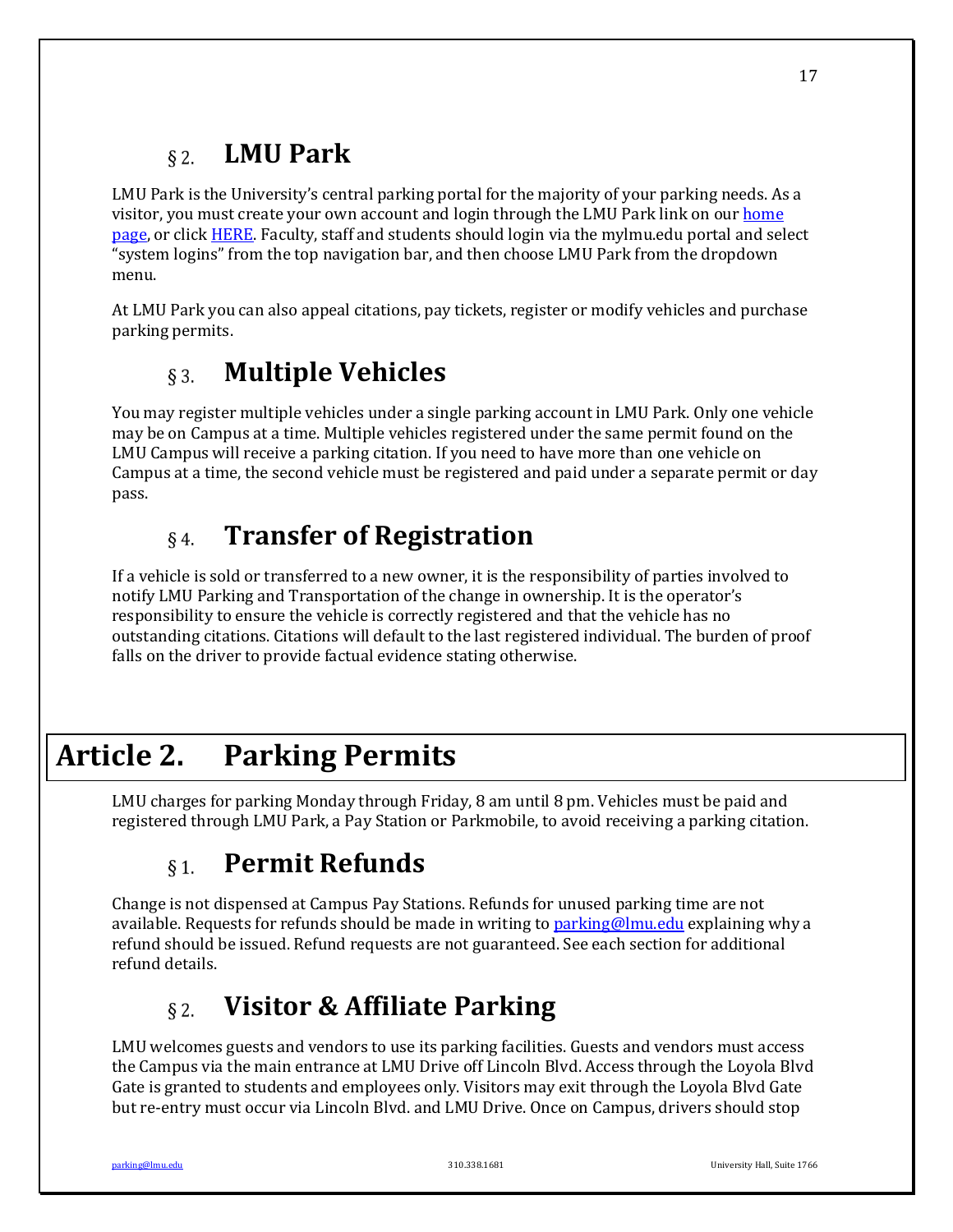#### **LMU Park**  $§$  2.

LMU Park is the University's central parking portal for the majority of your parking needs. As a visitor, you must create your own account and login through the LMU Park link on our home page, or click HERE. Faculty, staff and students should login via the mylmu.edu portal and select "system logins" from the top navigation bar, and then choose LMU Park from the dropdown menu.

At LMU Park you can also appeal citations, pay tickets, register or modify vehicles and purchase parking permits.

#### **Multiple Vehicles**  $§$  3.

You may register multiple vehicles under a single parking account in LMU Park. Only one vehicle may be on Campus at a time. Multiple vehicles registered under the same permit found on the LMU Campus will receive a parking citation. If you need to have more than one vehicle on Campus at a time, the second vehicle must be registered and paid under a separate permit or day pass. 

#### **Transfer of Registration**  $§$ 4.

If a vehicle is sold or transferred to a new owner, it is the responsibility of parties involved to notify LMU Parking and Transportation of the change in ownership. It is the operator's responsibility to ensure the vehicle is correctly registered and that the vehicle has no outstanding citations. Citations will default to the last registered individual. The burden of proof falls on the driver to provide factual evidence stating otherwise.

# **Article 2. Parking Permits**

LMU charges for parking Monday through Friday, 8 am until 8 pm. Vehicles must be paid and registered through LMU Park, a Pay Station or Parkmobile, to avoid receiving a parking citation.

#### **Permit Refunds**  $\delta$  1.

Change is not dispensed at Campus Pay Stations. Refunds for unused parking time are not available. Requests for refunds should be made in writing to parking@lmu.edu explaining why a refund should be issued. Refund requests are not guaranteed. See each section for additional refund details.

#### **Visitor & Affiliate Parking**  $\&$  2.

LMU welcomes guests and vendors to use its parking facilities. Guests and vendors must access the Campus via the main entrance at LMU Drive off Lincoln Blvd. Access through the Loyola Blvd Gate is granted to students and employees only. Visitors may exit through the Loyola Blvd Gate but re-entry must occur via Lincoln Blvd. and LMU Drive. Once on Campus, drivers should stop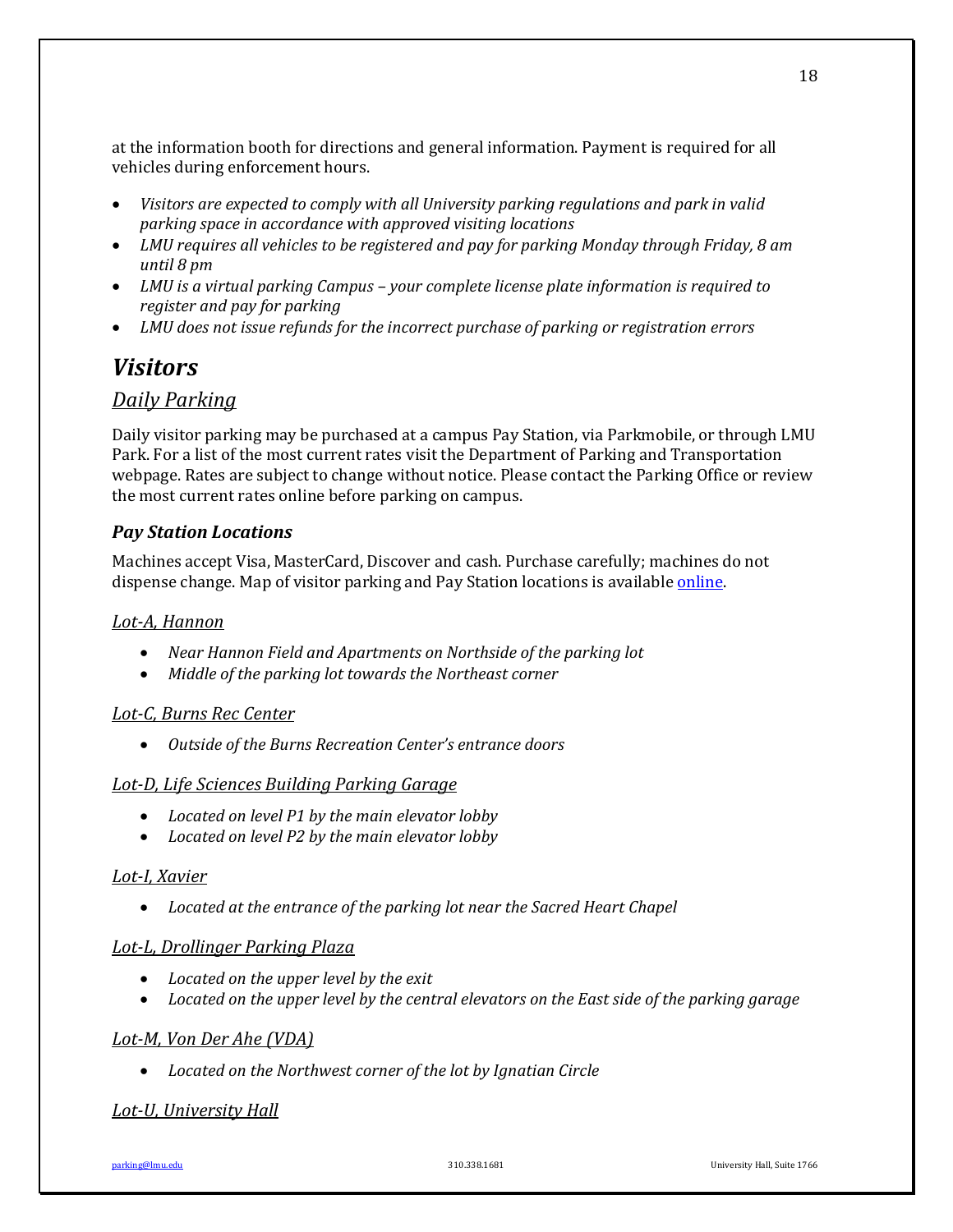at the information booth for directions and general information. Payment is required for all vehicles during enforcement hours.

- *Visitors* are expected to comply with all University parking regulations and park in valid *parking space in accordance with approved visiting locations*
- LMU requires all vehicles to be registered and pay for parking Monday through Friday, 8 am *until 8 pm*
- LMU is a virtual parking Campus your complete license plate information is required to *register and pay for parking*
- LMU does not issue refunds for the incorrect purchase of parking or registration errors

## *Visitors*

## *Daily Parking*

Daily visitor parking may be purchased at a campus Pay Station, via Parkmobile, or through LMU Park. For a list of the most current rates visit the Department of Parking and Transportation webpage. Rates are subject to change without notice. Please contact the Parking Office or review the most current rates online before parking on campus.

## *Pay Station Locations*

Machines accept Visa, MasterCard, Discover and cash. Purchase carefully; machines do not dispense change. Map of visitor parking and Pay Station locations is available *online*.

## *Lot-A, Hannon*

- Near Hannon Field and Apartments on Northside of the parking lot
- Middle of the parking lot towards the Northeast corner

## *Lot-C, Burns Rec Center*

• Outside of the Burns Recreation Center's entrance doors

## Lot-D, Life *Sciences Building Parking Garage*

- Located on level P1 by the main elevator lobby
- Located on level P2 by the main elevator lobby

### *Lot-I, Xavier*

• Located at the entrance of the parking lot near the Sacred Heart Chapel

### *Lot-L, Drollinger Parking Plaza*

- Located on the upper level by the exit
- Located on the upper level by the central elevators on the East side of the parking garage

### Lot-M, Von Der Ahe (VDA)

• Located on the Northwest corner of the lot by Ignatian Circle

## *Lot-U, University Hall*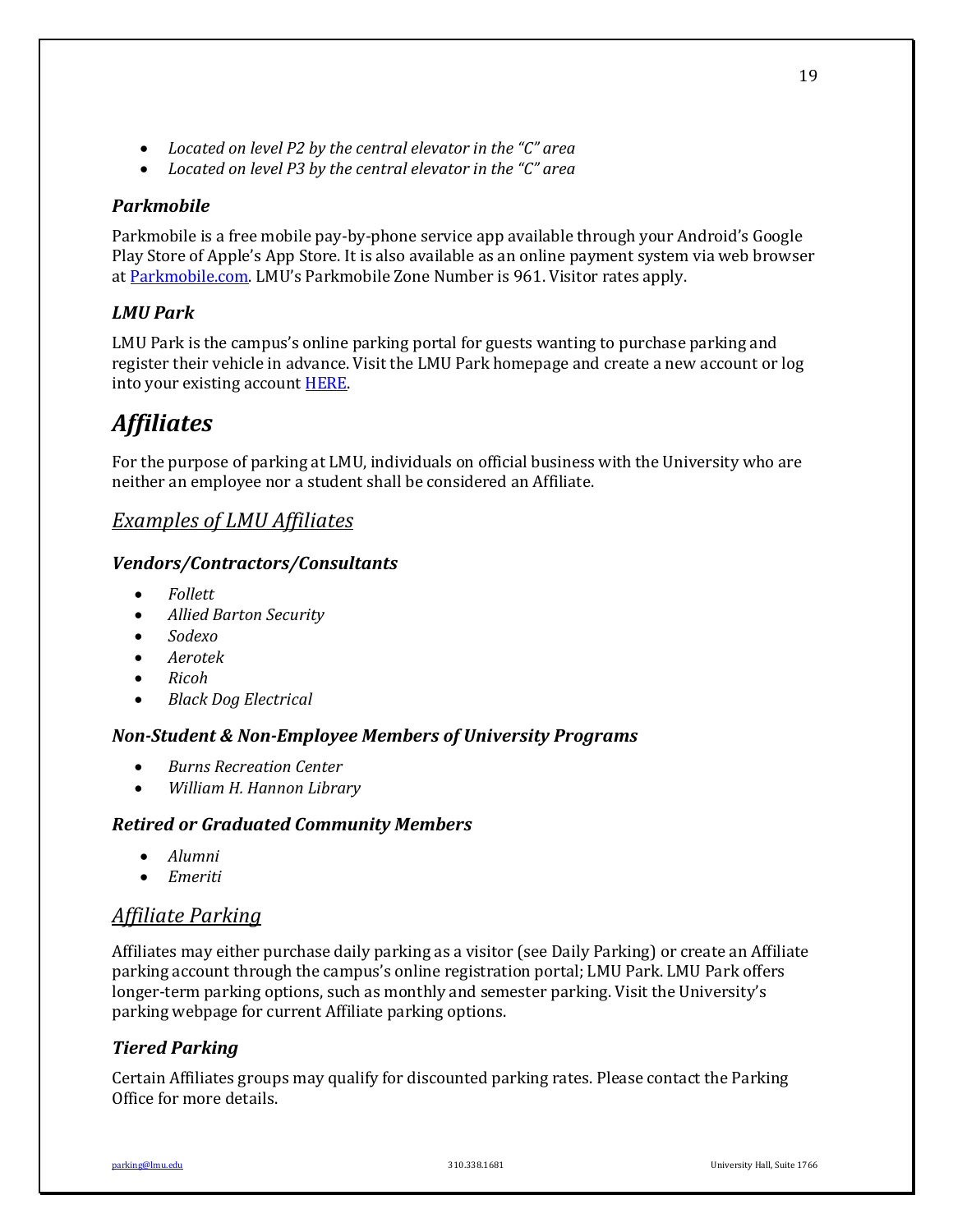- Located on level P2 by the central elevator in the "C" area
- Located on level P3 by the central elevator in the "C" area

### *Parkmobile*

Parkmobile is a free mobile pay-by-phone service app available through your Android's Google Play Store of Apple's App Store. It is also available as an online payment system via web browser at Parkmobile.com. LMU's Parkmobile Zone Number is 961. Visitor rates apply.

## *LMU Park*

LMU Park is the campus's online parking portal for guests wanting to purchase parking and register their vehicle in advance. Visit the LMU Park homepage and create a new account or log into your existing account **HERE**.

## *Affiliates*

For the purpose of parking at LMU, individuals on official business with the University who are neither an employee nor a student shall be considered an Affiliate.

## **Examples of LMU Affiliates**

### *Vendors/Contractors/Consultants*

- *Follett*
- *Allied Barton Security*
- *Sodexo*
- *Aerotek*
- *Ricoh*
- *Black Dog Electrical*

## *Non-Student & Non-Employee Members of University Programs*

- *Burns Recreation Center*
- *William H. Hannon Library*

### *Retired or Graduated Community Members*

- *Alumni*
- **•** *Emeriti*

## *Affiliate Parking*

Affiliates may either purchase daily parking as a visitor (see Daily Parking) or create an Affiliate parking account through the campus's online registration portal; LMU Park. LMU Park offers longer-term parking options, such as monthly and semester parking. Visit the University's parking webpage for current Affiliate parking options.

## *Tiered Parking*

Certain Affiliates groups may qualify for discounted parking rates. Please contact the Parking Office for more details.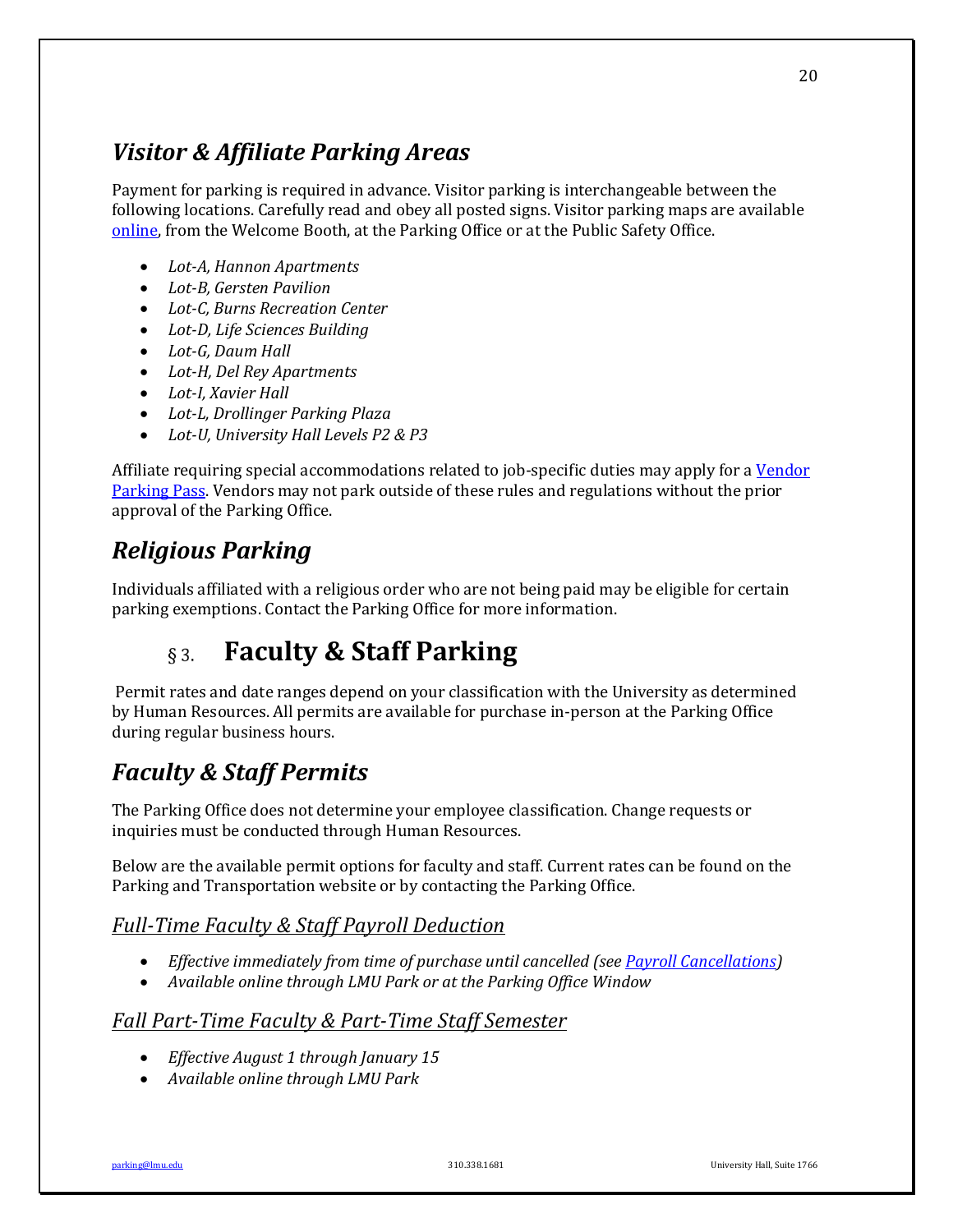# *Visitor & Affiliate Parking Areas*

Payment for parking is required in advance. Visitor parking is interchangeable between the following locations. Carefully read and obey all posted signs. Visitor parking maps are available online, from the Welcome Booth, at the Parking Office or at the Public Safety Office.

- *Lot-A, Hannon Apartments*
- Lot-B, Gersten Pavilion
- *Lot-C, Burns Recreation Center*
- Lot-D, Life Sciences Building
- Lot-G, Daum Hall
- Lot-H, Del Rey Apartments
- Lot-I, Xavier Hall
- *Lot-L, Drollinger Parking Plaza*
- Lot-U, University Hall Levels P2 & P3

Affiliate requiring special accommodations related to job-specific duties may apply for a Vendor Parking Pass. Vendors may not park outside of these rules and regulations without the prior approval of the Parking Office.

# *Religious Parking*

Individuals affiliated with a religious order who are not being paid may be eligible for certain parking exemptions. Contact the Parking Office for more information.

#### **Faculty & Staff Parking**  $\&$  3.

Permit rates and date ranges depend on your classification with the University as determined by Human Resources. All permits are available for purchase in-person at the Parking Office during regular business hours.

# *Faculty & Staff Permits*

The Parking Office does not determine your employee classification. Change requests or inquiries must be conducted through Human Resources.

Below are the available permit options for faculty and staff. Current rates can be found on the Parking and Transportation website or by contacting the Parking Office.

## **Full-Time Faculty & Staff Payroll Deduction**

- *Effective immediately from time of purchase until cancelled (see Payroll Cancellations)*
- Available online through LMU Park or at the Parking Office Window

## *Fall Part-Time Faculty & Part-Time Staff Semester*

- *Effective August 1 through January 15*
- *Available online through LMU Park*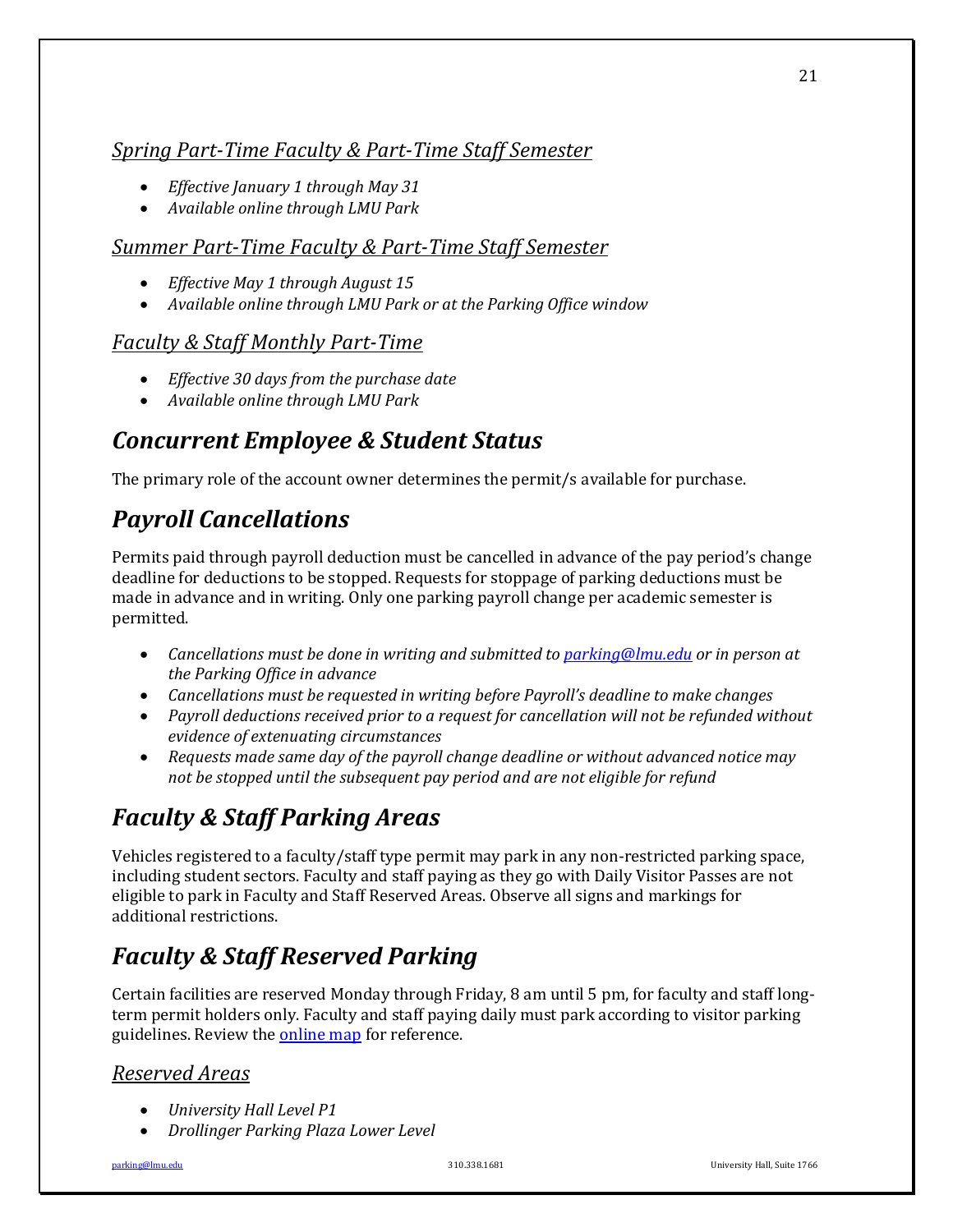## *Spring Part-Time Faculty & Part-Time Staff Semester*

- *Effective January 1 through May 31*
- *Available online through LMU Park*

## **Summer Part-Time Faculty & Part-Time Staff Semester**

- *Effective May 1 through August 15*
- Available online through LMU Park or at the Parking Office window

## *Faculty & Staff Monthly Part-Time*

- *Effective 30 days from the purchase date*
- *Available online through LMU Park*

# *Concurrent Employee & Student Status*

The primary role of the account owner determines the permit/s available for purchase.

# *Payroll Cancellations*

Permits paid through payroll deduction must be cancelled in advance of the pay period's change deadline for deductions to be stopped. Requests for stoppage of parking deductions must be made in advance and in writing. Only one parking payroll change per academic semester is permitted.

- Cancellations must be done in writing and submitted to parking@lmu.edu or in person at *the Parking Office in advance*
- Cancellations must be requested in writing before Payroll's deadline to make changes
- Payroll deductions received prior to a request for cancellation will not be refunded without *evidence of extenuating circumstances*
- Requests made same day of the payroll change deadline or without advanced notice may not be stopped until the subsequent pay period and are not eligible for refund

# *Faculty & Staff Parking Areas*

Vehicles registered to a faculty/staff type permit may park in any non-restricted parking space, including student sectors. Faculty and staff paying as they go with Daily Visitor Passes are not eligible to park in Faculty and Staff Reserved Areas. Observe all signs and markings for additional restrictions.

# **Faculty & Staff Reserved Parking**

Certain facilities are reserved Monday through Friday, 8 am until 5 pm, for faculty and staff longterm permit holders only. Faculty and staff paying daily must park according to visitor parking guidelines. Review the **online map** for reference.

## *Reserved Areas*

- *University Hall Level P1*
- *Drollinger Parking Plaza Lower Level*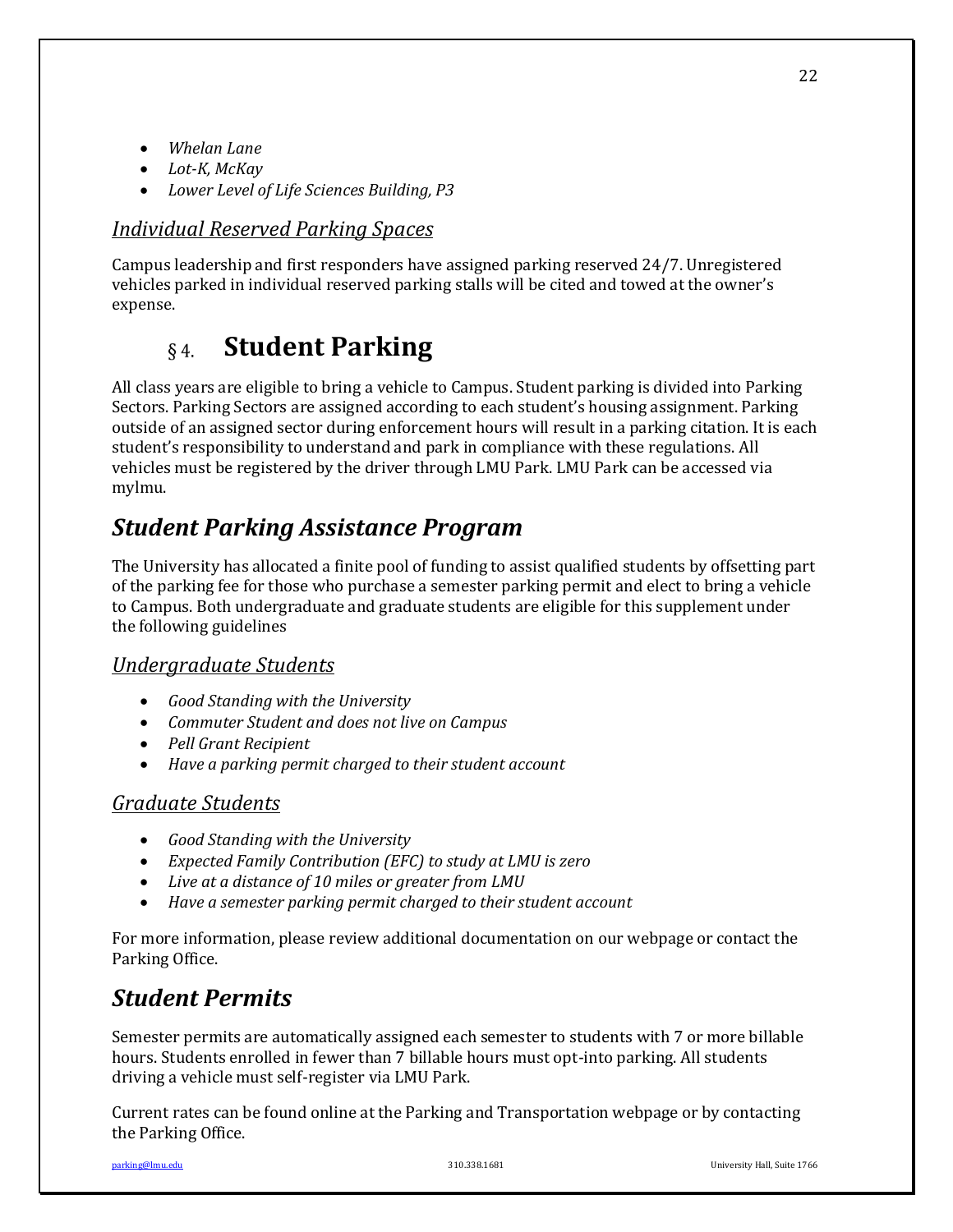- *Whelan Lane*
- *Lot-K, McKay*
- Lower Level of Life Sciences Building, P3

## *Individual Reserved Parking Spaces*

Campus leadership and first responders have assigned parking reserved 24/7. Unregistered vehicles parked in individual reserved parking stalls will be cited and towed at the owner's expense. 

#### **Student Parking**  $§$ 4.

All class years are eligible to bring a vehicle to Campus. Student parking is divided into Parking Sectors. Parking Sectors are assigned according to each student's housing assignment. Parking outside of an assigned sector during enforcement hours will result in a parking citation. It is each student's responsibility to understand and park in compliance with these regulations. All vehicles must be registered by the driver through LMU Park. LMU Park can be accessed via mylmu.

# *Student Parking Assistance Program*

The University has allocated a finite pool of funding to assist qualified students by offsetting part of the parking fee for those who purchase a semester parking permit and elect to bring a vehicle to Campus. Both undergraduate and graduate students are eligible for this supplement under the following guidelines

## *Undergraduate Students*

- *Good Standing with the University*
- *Commuter Student and does not live on Campus*
- *Pell Grant Recipient*
- Have a parking permit charged to their student account

## *Graduate Students*

- *Good Standing with the University*
- *Expected Family Contribution (EFC)* to study at LMU is zero
- Live at a distance of 10 miles or greater from LMU
- Have a semester parking permit charged to their student account

For more information, please review additional documentation on our webpage or contact the Parking Office.

## *Student Permits*

Semester permits are automatically assigned each semester to students with 7 or more billable hours. Students enrolled in fewer than 7 billable hours must opt-into parking. All students driving a vehicle must self-register via LMU Park.

Current rates can be found online at the Parking and Transportation webpage or by contacting the Parking Office.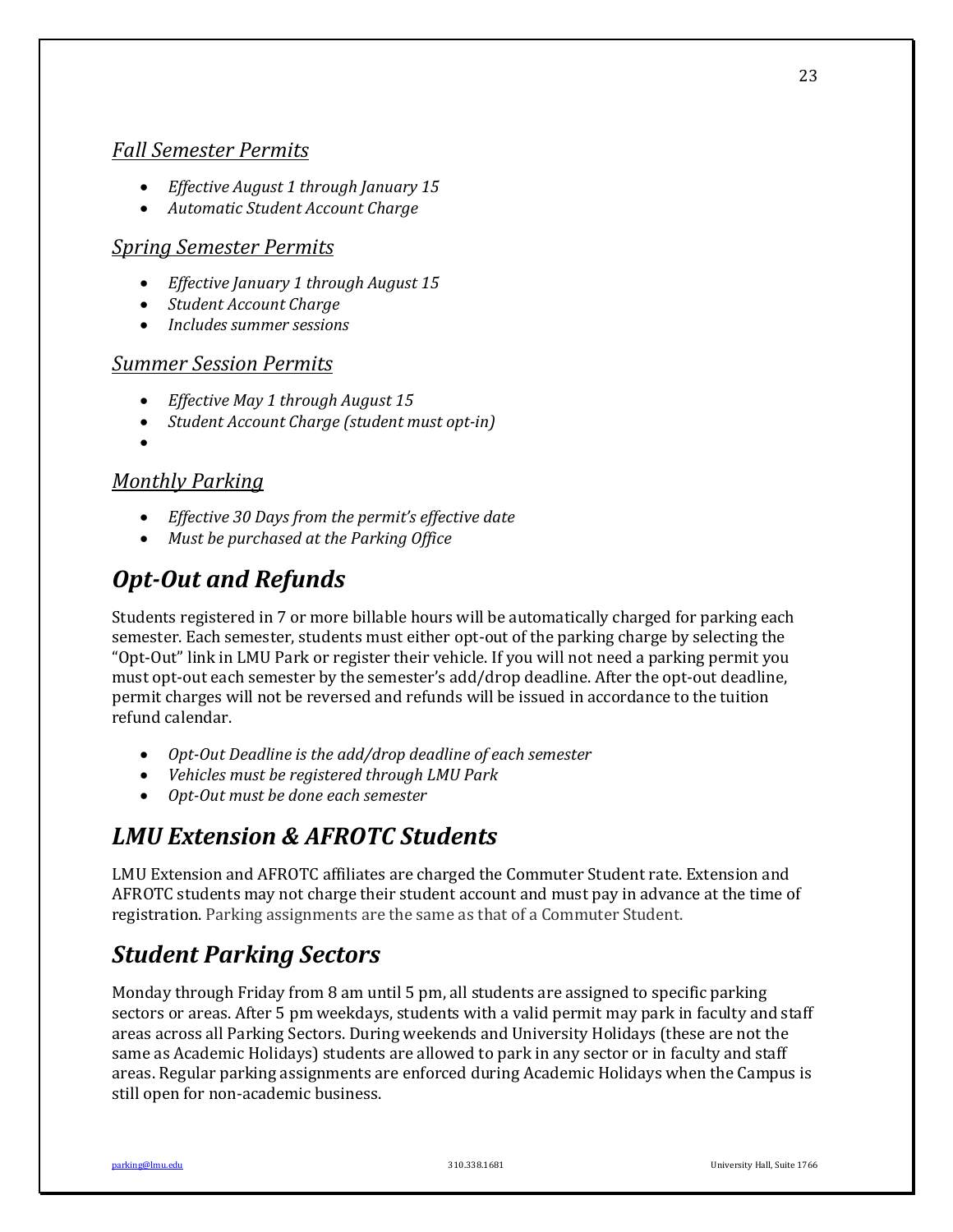## *Fall Semester Permits*

- *Effective August 1 through January 15*
- *Automatic Student Account Charge*

## *Spring Semester Permits*

- *Effective January 1 through August 15*
- *Student Account Charge*
- *Includes summer sessions*

## *Summer Session Permits*

- *Effective May 1 through August 15*
- *Student Account Charge (student must opt-in)*
- •

## *Monthly Parking*

- *Effective 30 Days from the permit's effective date*
- Must be purchased at the Parking Office

# *Opt-Out and Refunds*

Students registered in 7 or more billable hours will be automatically charged for parking each semester. Each semester, students must either opt-out of the parking charge by selecting the "Opt-Out" link in LMU Park or register their vehicle. If you will not need a parking permit you must opt-out each semester by the semester's add/drop deadline. After the opt-out deadline, permit charges will not be reversed and refunds will be issued in accordance to the tuition refund calendar.

- Opt-Out Deadline is the add/drop deadline of each semester
- Vehicles must be registered through LMU Park
- Opt-Out must be done each semester

# *LMU Extension & AFROTC Students*

LMU Extension and AFROTC affiliates are charged the Commuter Student rate. Extension and AFROTC students may not charge their student account and must pay in advance at the time of registration. Parking assignments are the same as that of a Commuter Student.

# *Student Parking Sectors*

Monday through Friday from 8 am until 5 pm, all students are assigned to specific parking sectors or areas. After 5 pm weekdays, students with a valid permit may park in faculty and staff areas across all Parking Sectors. During weekends and University Holidays (these are not the same as Academic Holidays) students are allowed to park in any sector or in faculty and staff areas. Regular parking assignments are enforced during Academic Holidays when the Campus is still open for non-academic business.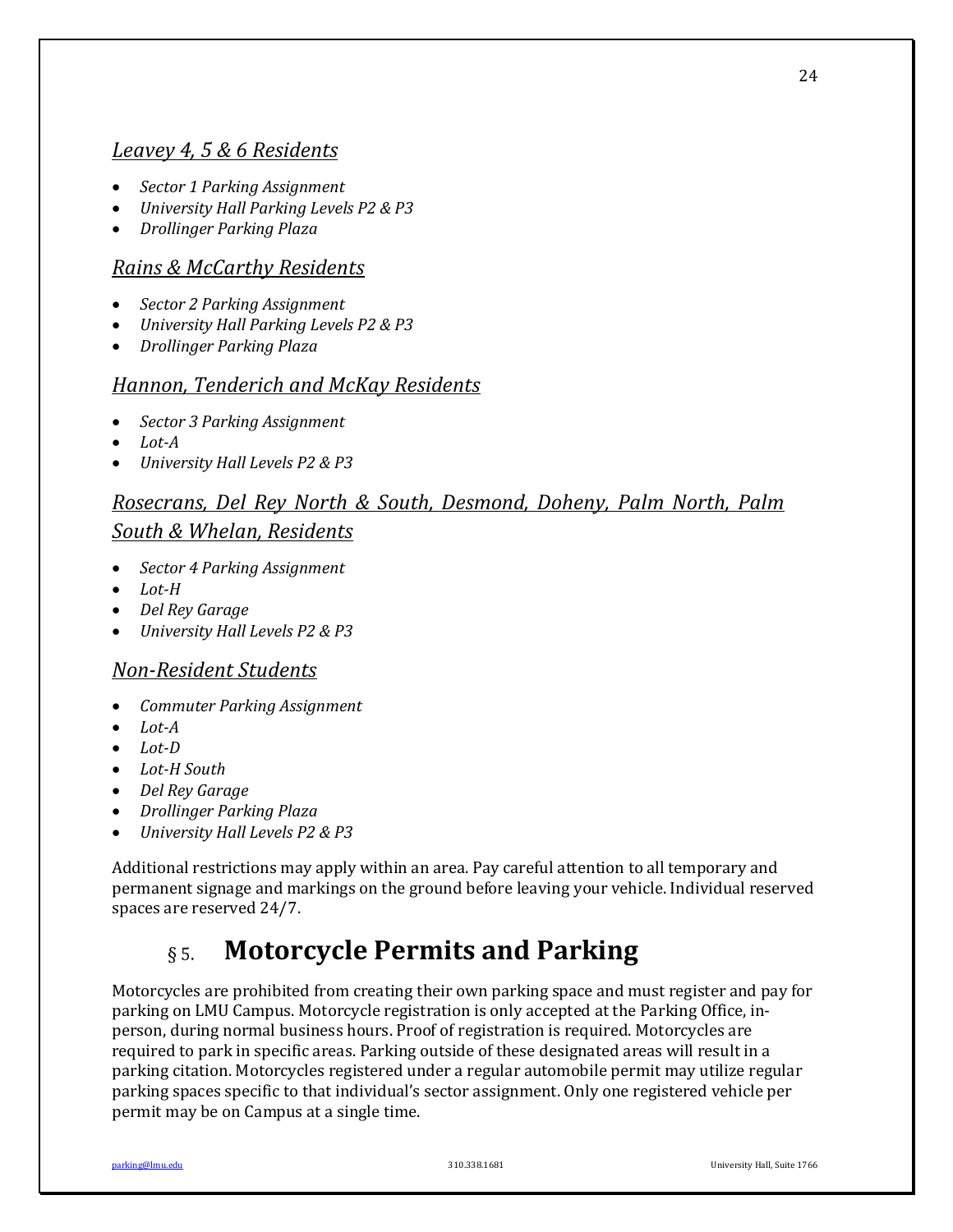## *Leavey 4, 5 & 6 Residents*

- *Sector 1 Parking Assignment*
- *University Hall Parking Levels P2 & P3*
- *Drollinger Parking Plaza*

## *Rains & McCarthy Residents*

- *Sector 2 Parking Assignment*
- *University Hall Parking Levels P2 & P3*
- *Drollinger Parking Plaza*

## *Hannon, Tenderich and McKay Residents*

- *Sector 3 Parking Assignment*
- *Lot-A*
- *University Hall Levels P2 & P3*

## *Rosecrans, Del Rey North & South, Desmond, Doheny, Palm North, Palm*

## *South & Whelan, Residents*

- *Sector 4 Parking Assignment*
- *Lot-H*
- *Del Rey Garage*
- *University Hall Levels P2 & P3*

## *Non-Resident Students*

- *Commuter Parking Assignment*
- *Lot-A*
- *Lot-D*
- *Lot-H South*
- *Del Rey Garage*
- *Drollinger Parking Plaza*
- *University Hall Levels P2 & P3*

Additional restrictions may apply within an area. Pay careful attention to all temporary and permanent signage and markings on the ground before leaving your vehicle. Individual reserved spaces are reserved 24/7.

#### **Motorcycle Permits and Parking**  $\delta$  5.

Motorcycles are prohibited from creating their own parking space and must register and pay for parking on LMU Campus. Motorcycle registration is only accepted at the Parking Office, inperson, during normal business hours. Proof of registration is required. Motorcycles are required to park in specific areas. Parking outside of these designated areas will result in a parking citation. Motorcycles registered under a regular automobile permit may utilize regular parking spaces specific to that individual's sector assignment. Only one registered vehicle per permit may be on Campus at a single time.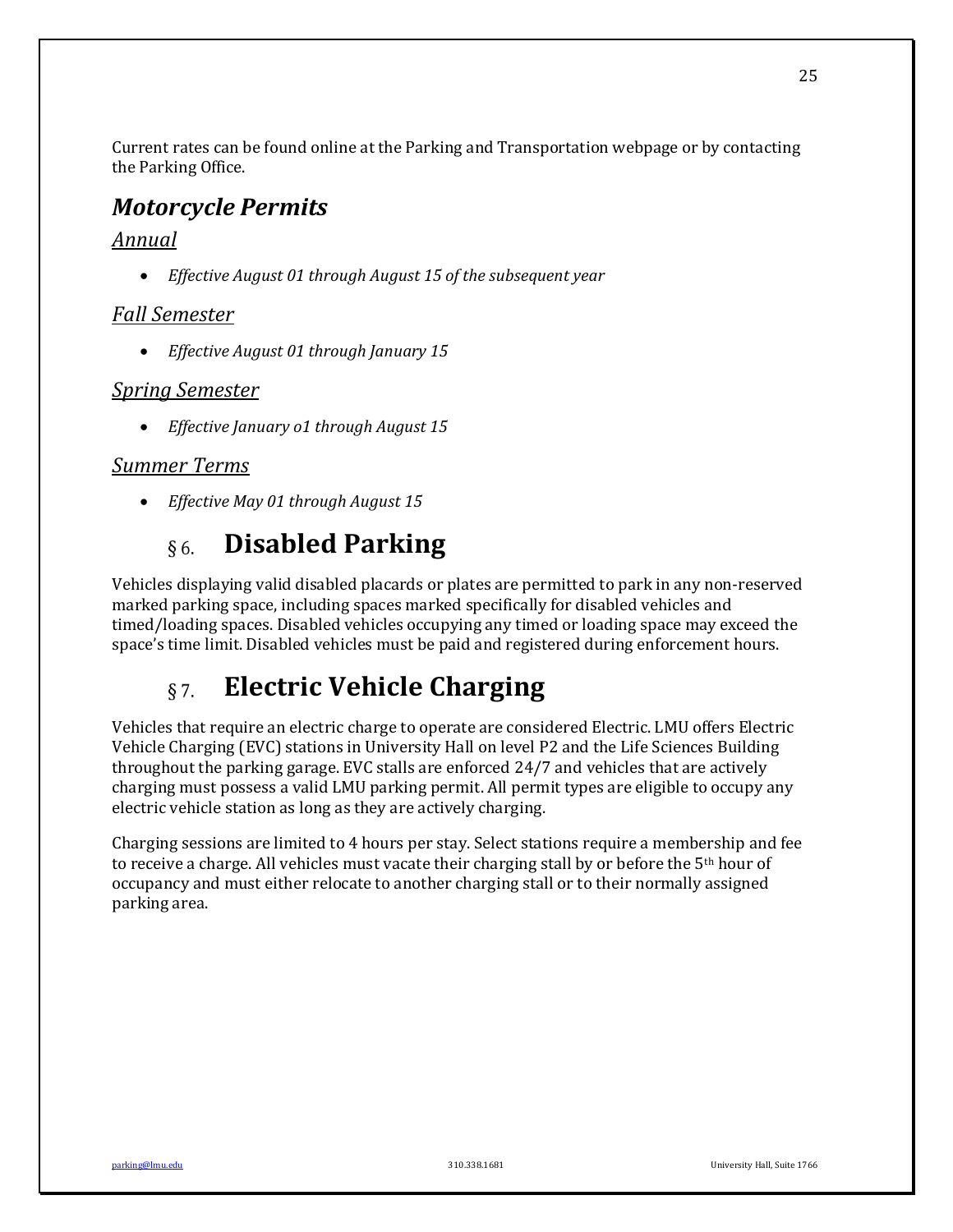Current rates can be found online at the Parking and Transportation webpage or by contacting the Parking Office.

## *Motorcycle Permits*

## *Annual*

• *Effective August 01 through August 15 of the subsequent year* 

## *Fall Semester*

• *Effective August 01 through January 15* 

## *Spring Semester*

• *Effective January o1 through August 15* 

## *Summer Terms*

• *Effective May 01 through August 15* 

#### **Disabled Parking**  $§6.$

Vehicles displaying valid disabled placards or plates are permitted to park in any non-reserved marked parking space, including spaces marked specifically for disabled vehicles and timed/loading spaces. Disabled vehicles occupying any timed or loading space may exceed the space's time limit. Disabled vehicles must be paid and registered during enforcement hours.

#### **Electric Vehicle Charging**  $\S 7.$

Vehicles that require an electric charge to operate are considered Electric. LMU offers Electric Vehicle Charging (EVC) stations in University Hall on level P2 and the Life Sciences Building throughout the parking garage. EVC stalls are enforced  $24/7$  and vehicles that are actively charging must possess a valid LMU parking permit. All permit types are eligible to occupy any electric vehicle station as long as they are actively charging.

Charging sessions are limited to 4 hours per stay. Select stations require a membership and fee to receive a charge. All vehicles must vacate their charging stall by or before the  $5<sup>th</sup>$  hour of occupancy and must either relocate to another charging stall or to their normally assigned parking area.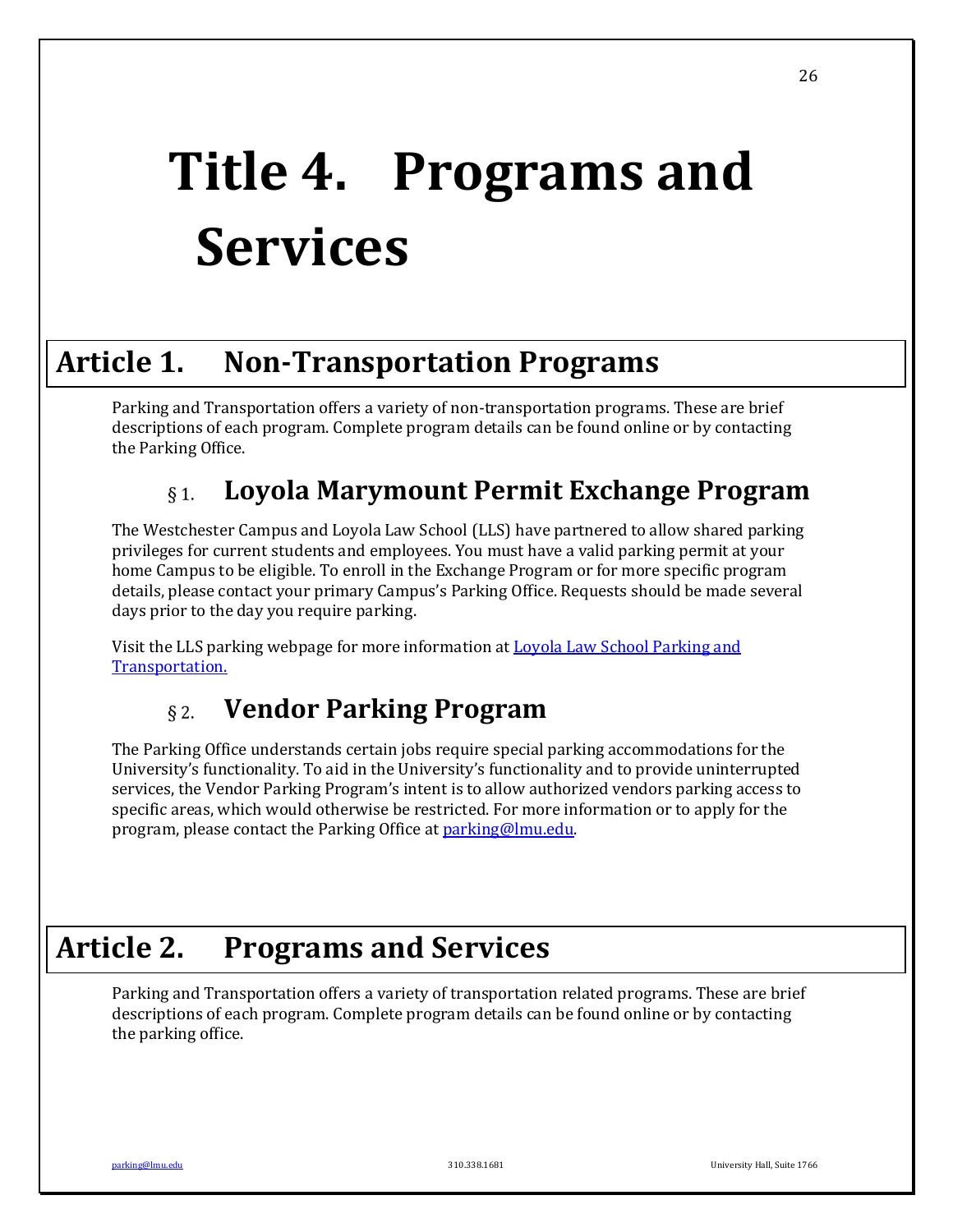# **Title 4. Programs and Services**

# **Article 1. Non-Transportation Programs**

Parking and Transportation offers a variety of non-transportation programs. These are brief descriptions of each program. Complete program details can be found online or by contacting the Parking Office.

#### **Loyola Marymount Permit Exchange Program**  $§$  1.

The Westchester Campus and Loyola Law School (LLS) have partnered to allow shared parking privileges for current students and employees. You must have a valid parking permit at your home Campus to be eligible. To enroll in the Exchange Program or for more specific program details, please contact your primary Campus's Parking Office. Requests should be made several days prior to the day you require parking.

Visit the LLS parking webpage for more information at **Loyola Law School Parking and** Transportation.

#### **Vendor Parking Program**  $\S$  2.

The Parking Office understands certain jobs require special parking accommodations for the University's functionality. To aid in the University's functionality and to provide uninterrupted services, the Vendor Parking Program's intent is to allow authorized vendors parking access to specific areas, which would otherwise be restricted. For more information or to apply for the program, please contact the Parking Office at **parking@lmu.edu.** 

# **Article 2. Programs and Services**

Parking and Transportation offers a variety of transportation related programs. These are brief descriptions of each program. Complete program details can be found online or by contacting the parking office.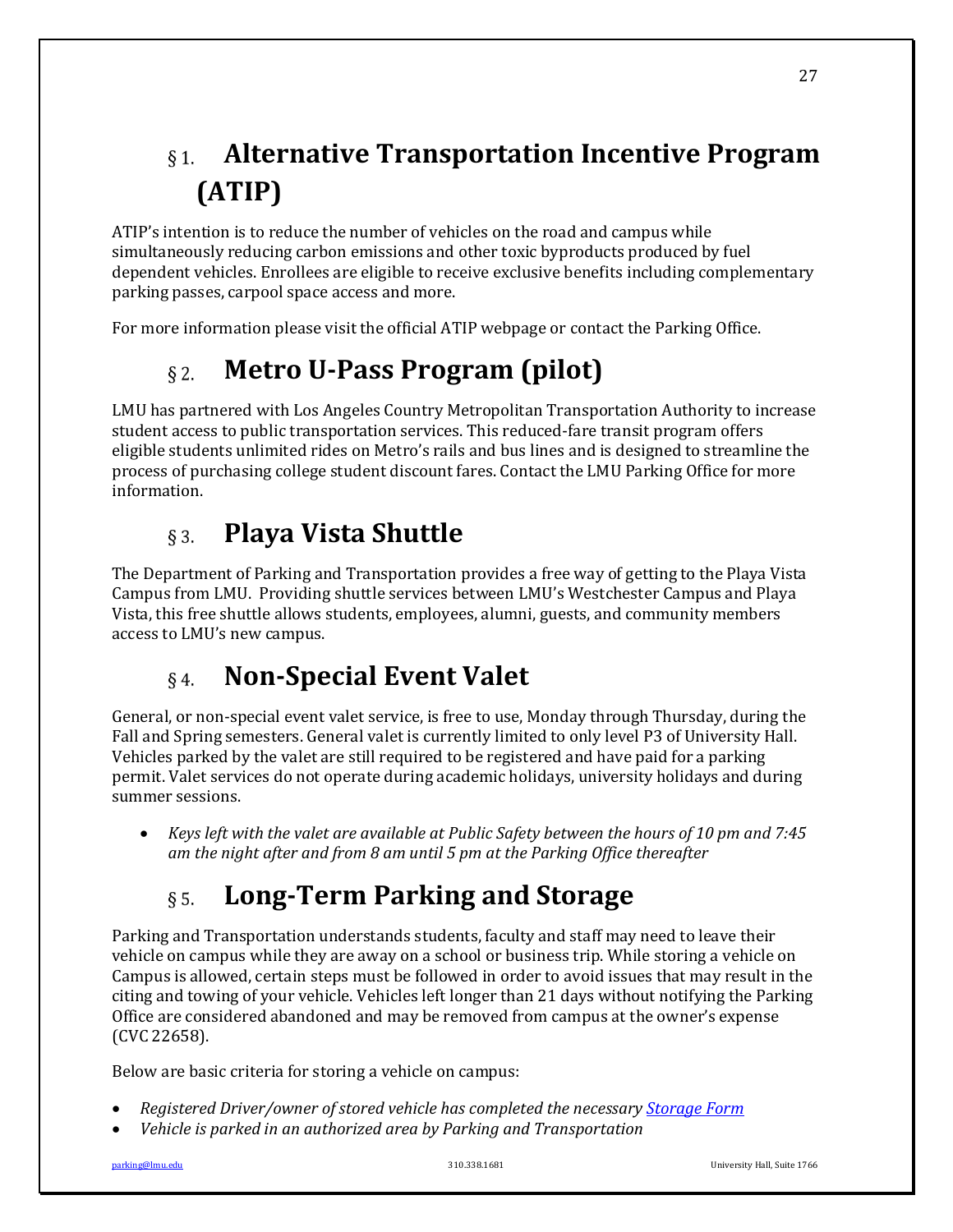## **Alternative Transportation Incentive Program**  $\delta$  1. **(ATIP)**

ATIP's intention is to reduce the number of vehicles on the road and campus while simultaneously reducing carbon emissions and other toxic byproducts produced by fuel dependent vehicles. Enrollees are eligible to receive exclusive benefits including complementary parking passes, carpool space access and more.

For more information please visit the official ATIP webpage or contact the Parking Office.

#### **Metro U-Pass Program (pilot)**  $\delta$  2.

LMU has partnered with Los Angeles Country Metropolitan Transportation Authority to increase student access to public transportation services. This reduced-fare transit program offers eligible students unlimited rides on Metro's rails and bus lines and is designed to streamline the process of purchasing college student discount fares. Contact the LMU Parking Office for more information.

#### **Playa Vista Shuttle**   $\S$  3.

The Department of Parking and Transportation provides a free way of getting to the Playa Vista Campus from LMU. Providing shuttle services between LMU's Westchester Campus and Playa Vista, this free shuttle allows students, employees, alumni, guests, and community members access to LMU's new campus.

#### **Non-Special Event Valet**  $\delta$  4.

General, or non-special event valet service, is free to use, Monday through Thursday, during the Fall and Spring semesters. General valet is currently limited to only level P3 of University Hall. Vehicles parked by the valet are still required to be registered and have paid for a parking permit. Valet services do not operate during academic holidays, university holidays and during summer sessions.

*Keys left with the valet are available at Public Safety between the hours of 10 pm and 7:45 am the night after and from 8 am until 5 pm at the Parking Office thereafter*

#### Long-Term Parking and Storage  $\delta$  5.

Parking and Transportation understands students, faculty and staff may need to leave their vehicle on campus while they are away on a school or business trip. While storing a vehicle on Campus is allowed, certain steps must be followed in order to avoid issues that may result in the citing and towing of your vehicle. Vehicles left longer than 21 days without notifying the Parking Office are considered abandoned and may be removed from campus at the owner's expense (CVC 22658).

Below are basic criteria for storing a vehicle on campus:

- *Registered Driver/owner of stored vehicle has completed the necessary Storage Form*
- Vehicle is parked in an authorized area by Parking and Transportation